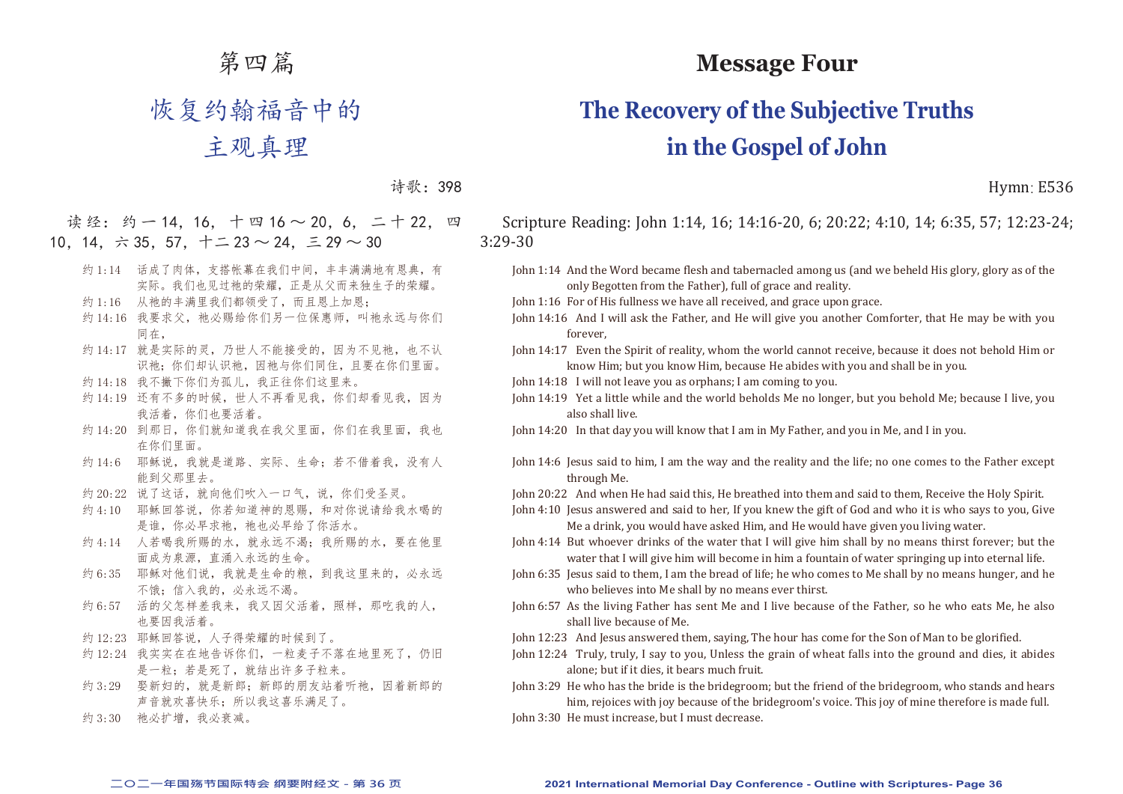# 第四篇

# 恢复约翰福音中的

# 主观真理

### 诗歌:398

读经: 约一14,16, 十 四 16 ~ 20, 6, 二 十 22, 四 10, 14, 六 35, 57, 十二 23 ~ 24, 三 29 ~ 30

- 约 1:14 话成了肉体, 支搭帐幕在我们中间, 丰丰满满地有恩典, 有 实际。我们也见过祂的荣耀,正是从父而来独生子的荣耀。
- 约 1:16 从祂的丰满里我们都领受了,而且恩上加恩;
- 约 14:16 我要求父, 祂必赐给你们另一位保惠师, 叫祂永远与你们 同在,
- 约 14:17 就是实际的灵,乃世人不能接受的,因为不见祂,也不认 识祂;你们却认识祂,因祂与你们同住,且要在你们里面。
- 约 14:18 我不撇下你们为孤儿, 我正往你们这里来。
- 约 14:19 还有不多的时候, 世人不再看见我, 你们却看见我, 因为 我活着,你们也要活着。
- 约 14:20 到那日, 你们就知道我在我父里面, 你们在我里面, 我也 在你们里面。
- 约 14:6 耶稣说, 我就是道路、实际、生命; 若不借着我, 没有人 能到父那里去。
- 约 20:22 说了这话, 就向他们吹入一口气, 说, 你们受圣灵。
- 约 4:10 耶稣回答说, 你若知道神的恩赐, 和对你说请给我水喝的 是谁,你必早求祂, 祂也必早给了你活水。
- 约 4:14 人若喝我所赐的水, 就永远不渴: 我所赐的水, 要在他里 面成为泉源,直涌入永远的生命。
- 约 6:35 耶稣对他们说,我就是生命的粮,到我这里来的,必永远 不饿;信入我的,必永远不渴。
- 约 6:57 活的父怎样差我来,我又因父活着,照样,那吃我的人, 也要因我活着。
- 约 12:23 耶稣回答说,人子得荣耀的时候到了。
- 约 12:24 我实实在在地告诉你们,一粒麦子不落在地里死了,仍旧 是一粒;若是死了,就结出许多子粒来。
- 约 3:29 娶新妇的, 就是新郎; 新郎的朋友站着听祂, 因着新郎的 声音就欢喜快乐;所以我这喜乐满足了。
- 约 3:30 祂必扩增, 我必衰减。

# **Message Four**

# **The Recovery of the Subjective Truths in the Gospel of John**

Hymn: E536

Scripture Reading: John 1:14, 16; 14:16-20, 6; 20:22; 4:10, 14; 6:35, 57; 12:23-24; 3:29-30

- John 1:14 And the Word became flesh and tabernacled among us (and we beheld His glory, glory as of the only Begotten from the Father), full of grace and reality.
- John 1:16 For of His fullness we have all received, and grace upon grace.
- John 14:16 And I will ask the Father, and He will give you another Comforter, that He may be with you forever,

John 14:17 Even the Spirit of reality, whom the world cannot receive, because it does not behold Him or know Him; but you know Him, because He abides with you and shall be in you.

- John 14:18 I will not leave you as orphans; I am coming to you.
- John 14:19 Yet a little while and the world beholds Me no longer, but you behold Me; because I live, you also shall live.
- John 14:20 In that day you will know that I am in My Father, and you in Me, and I in you.
- John 14:6 Jesus said to him, I am the way and the reality and the life; no one comes to the Father except through Me.

John 20:22 And when He had said this, He breathed into them and said to them, Receive the Holy Spirit.

John 4:10 Jesus answered and said to her, If you knew the gift of God and who it is who says to you, Give Me a drink, you would have asked Him, and He would have given you living water.

- John 4:14 But whoever drinks of the water that I will give him shall by no means thirst forever; but the water that I will give him will become in him a fountain of water springing up into eternal life.
- John 6:35 Jesus said to them, I am the bread of life; he who comes to Me shall by no means hunger, and he who believes into Me shall by no means ever thirst.
- John 6:57 As the living Father has sent Me and I live because of the Father, so he who eats Me, he also shall live because of Me.
- John 12:23 And Jesus answered them, saying, The hour has come for the Son of Man to be glorified.
- John 12:24 Truly, truly, I say to you, Unless the grain of wheat falls into the ground and dies, it abides alone; but if it dies, it bears much fruit.
- John 3:29 He who has the bride is the bridegroom; but the friend of the bridegroom, who stands and hears him, rejoices with joy because of the bridegroom's voice. This joy of mine therefore is made full.
- John 3:30 He must increase, but I must decrease.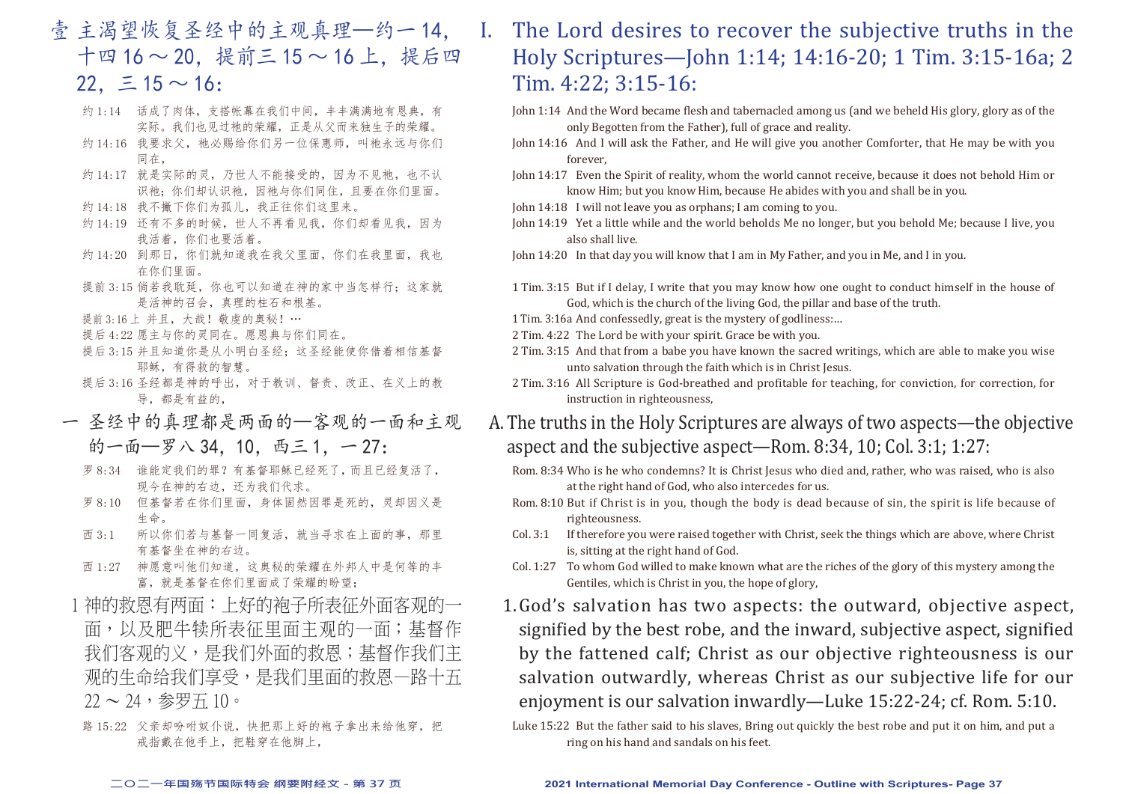- 壹 主渴望恢复圣经中的主观真理—约一 14, 十四 16 ~ 20. 提前三 15 ~ 16 上, 提后四  $22. \equiv 15 \sim 16$ :
	- 约 1:14 话成了肉体,支搭帐幕在我们中间,丰丰满满地有恩典,有 实际。我们也见过祂的荣耀,正是从父而来独生子的荣耀。
	- 约 14:16 我要求父, 祂必赐给你们另一位保惠师, 叫祂永远与你们 同在,
	- 约 14:17 就是实际的灵,乃世人不能接受的,因为不见祂,也不认 识祂;你们却认识祂,因祂与你们同住,且要在你们里面。
	- 约 14:18 我不撇下你们为孤儿, 我正往你们这里来。
	- 约 14:19 还有不多的时候, 世人不再看见我, 你们却看见我, 因为 我活着,你们也要活着。
	- 约 14:20 到那日, 你们就知道我在我父里面, 你们在我里面, 我也 在你们里面。
	- 提前 3:15 倘若我耽延, 你也可以知道在神的家中当怎样行;这家就 是活神的召会,真理的柱石和根基。
	- 提前 3:16 上 并且, 大哉! 敬虔的奥秘!…
	- 提后 4:22 愿主与你的灵同在。愿恩典与你们同在。
	- 提后 3:15 并且知道你是从小明白圣经;这圣经能使你借着相信基督 耶稣,有得救的智慧。
	- 提后 3:16 圣经都是神的呼出,对于教训、督责、改正、在义上的教 导,都是有益的,
	- 一 圣经中的真理都是两面的—客观的一面和主观 的一面—罗八 34, 10, 西三 1, 一 27:
		- 罗 8:34 谁能定我们的罪?有基督耶稣已经死了,而且已经复活了, 现今在神的右边。还为我们代求。
		- 罗 8:10 但基督若在你们里面,身体固然因罪是死的,灵却因义是 生命。
		- 西 3:1 所以你们若与基督一同复活,就当寻求在上面的事,那里 有基督坐在神的右边。
		- 西 1:27 神愿意叫他们知道,这奥秘的荣耀在外邦人中是何等的丰 富,就是基督在你们里面成了荣耀的盼望;
	- 1 神的救恩有两面: 上好的袍子所表征外面客观的一 面,以及肥牛犊所表征里面主观的一面;基督作 我们客观的义,是我们外面的救恩;基督作我们主 观的生命给我们享受,是我们里面的救恩—路十五  $22 \sim 24$ , 参罗五 10。
	- 路 15:22 父亲却吩咐奴仆说, 快把那上好的袍子拿出来给他穿, 把 戒指戴在他手上,把鞋穿在他脚上,

# I. The Lord desires to recover the subjective truths in the Holy Scriptures—John 1:14; 14:16-20; 1 Tim. 3:15-16a; 2 Tim. 4:22; 3:15-16:

- John 1:14 And the Word became flesh and tabernacled among us (and we beheld His glory, glory as of the only Begotten from the Father), full of grace and reality.
- John 14:16 And I will ask the Father, and He will give you another Comforter, that He may be with you forever,
- John 14:17 Even the Spirit of reality, whom the world cannot receive, because it does not behold Him or know Him; but you know Him, because He abides with you and shall be in you.
- John 14:18 I will not leave you as orphans; I am coming to you.
- John 14:19 Yet a little while and the world beholds Me no longer, but you behold Me; because I live, you also shall live.
- John 14:20 In that day you will know that I am in My Father, and you in Me, and I in you.
- 1 Tim. 3:15 But if I delay, I write that you may know how one ought to conduct himself in the house of God, which is the church of the living God, the pillar and base of the truth.
- 1 Tim. 3:16a And confessedly, great is the mystery of godliness:…
- 2 Tim. 4:22 The Lord be with your spirit. Grace be with you.
- 2 Tim. 3:15 And that from a babe you have known the sacred writings, which are able to make you wise unto salvation through the faith which is in Christ Jesus.
- 2 Tim. 3:16 All Scripture is God-breathed and profitable for teaching, for conviction, for correction, for instruction in righteousness,
- A.The truths in the Holy Scriptures are always of two aspects—the objective aspect and the subjective aspect—Rom. 8:34, 10; Col. 3:1; 1:27:
	- Rom. 8:34 Who is he who condemns? It is Christ Jesus who died and, rather, who was raised, who is also at the right hand of God, who also intercedes for us.
	- Rom. 8:10 But if Christ is in you, though the body is dead because of sin, the spirit is life because of righteousness.
	- Col. 3:1 If therefore you were raised together with Christ, seek the things which are above, where Christ is, sitting at the right hand of God.
	- Col. 1:27 To whom God willed to make known what are the riches of the glory of this mystery among the Gentiles, which is Christ in you, the hope of glory,
	- 1.God's salvation has two aspects: the outward, objective aspect, signified by the best robe, and the inward, subjective aspect, signified by the fattened calf; Christ as our objective righteousness is our salvation outwardly, whereas Christ as our subjective life for our enjoyment is our salvation inwardly—Luke 15:22-24; cf. Rom. 5:10.

Luke 15:22 But the father said to his slaves, Bring out quickly the best robe and put it on him, and put a ring on his hand and sandals on his feet.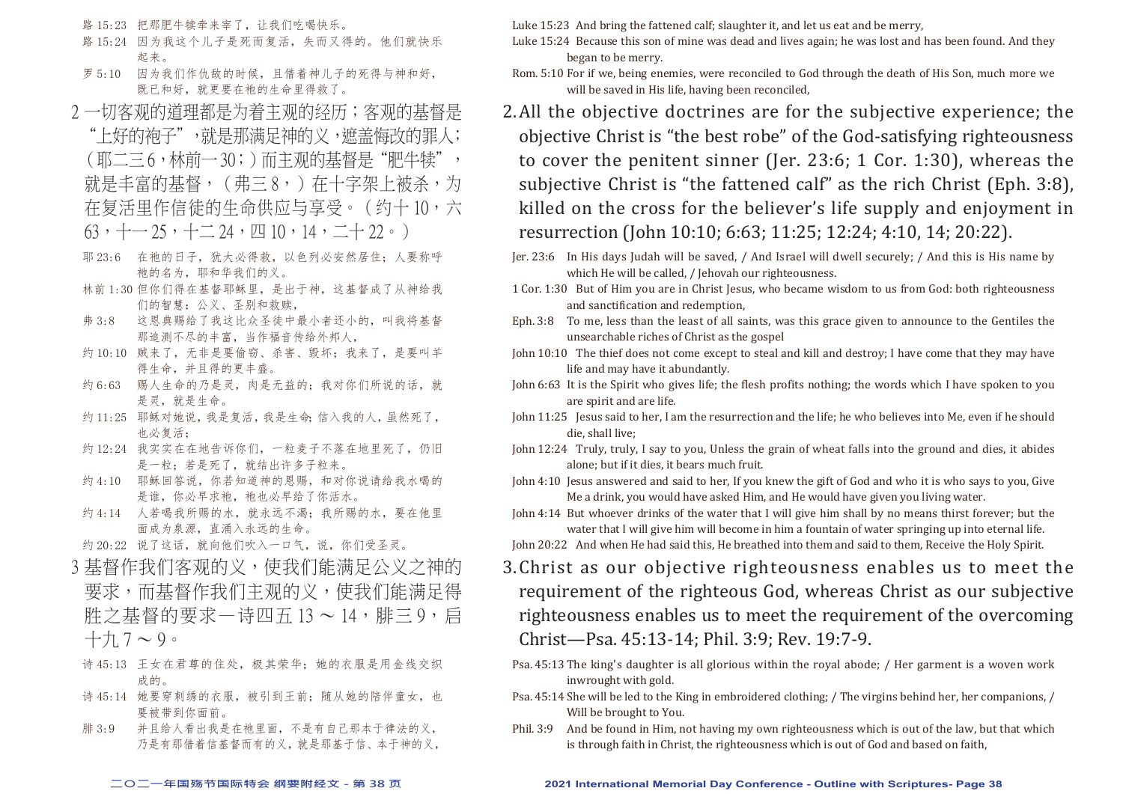路 15:23 把那肥牛犊牵来宰了,让我们吃喝快乐。

- 路 15:24 因为我这个儿子是死而复活,失而又得的。他们就快乐 起来。
- 罗 5:10 因为我们作仇敌的时候, 且借着神儿子的死得与神和好, 既已和好,就更要在祂的生命里得救了。
- 2 一切客观的道理都是为着主观的经历;客观的基督是 "上好的袍子",就是那满足神的义,遮盖悔改的罪人; (耶二三 6,林前一 30;)而主观的基督是"肥牛犊", 就是丰富的基督,(弗三8,)在十字架上被杀,为 在复活里作信徒的生命供应与享受。(约十10,六  $63, + -25, + -24, \text{ } \square$  10, 14,  $- +22$ , )
- 耶 23:6 在祂的日子,犹大必得救,以色列必安然居住;人要称呼 祂的名为,耶和华我们的义。
- 林前 1:30 但你们得在基督耶稣里,是出于神,这基督成了从神给我 们的智慧:公义、圣别和救赎,
- 弗 3:8 这恩典赐给了我这比众圣徒中最小者还小的,叫我将基督 那追测不尽的丰富,当作福音传给外邦人,
- 约 10:10 贼来了, 无非是要偷窃、杀害、毁坏; 我来了, 是要叫羊 得生命,并且得的更丰盛。
- 约 6:63 赐人生命的乃是灵,肉是无益的;我对你们所说的话,就 是灵,就是生命。
- 约11:25 耶稣对她说,我是复活,我是生命;信入我的人,虽然死了, 也必复活;
- 约 12:24 我实实在在地告诉你们,一粒麦子不落在地里死了,仍旧 是一粒;若是死了,就结出许多子粒来。
- 约 4:10 耶稣回答说, 你若知道神的恩赐, 和对你说请给我水喝的 是谁,你必早求祂, 祂也必早给了你活水。
- 约 4:14 人若喝我所赐的水, 就永远不渴: 我所赐的水, 要在他里 面成为泉源,直涌入永远的生命。

约 20:22 说了这话, 就向他们吹入一口气, 说, 你们受圣灵。

- 3 基督作我们客观的义,使我们能满足公义之神的 要求,而基督作我们主观的义,使我们能满足得 胜之基督的要求—诗四五 13 ~ 14, 腓三 9, 启  $+$  $\pi$ ,  $7 \sim 9$
- 诗 45:13 王女在君尊的住处,极其荣华;她的衣服是用金线交织 成的。
- 诗 45:14 她要穿刺绣的衣服, 被引到王前; 随从她的陪伴童女, 也 要被带到你面前。
- 腓 3:9 并且给人看出我是在祂里面,不是有自己那本于律法的义, 乃是有那借着信基督而有的义,就是那基于信、本于神的义,

Luke 15:23 And bring the fattened calf; slaughter it, and let us eat and be merry,

- Luke 15:24 Because this son of mine was dead and lives again; he was lost and has been found. And they began to be merry.
- Rom. 5:10 For if we, being enemies, were reconciled to God through the death of His Son, much more we will be saved in His life, having been reconciled,
- 2.All the objective doctrines are for the subjective experience; the objective Christ is "the best robe" of the God-satisfying righteousness to cover the penitent sinner (Jer. 23:6; 1 Cor. 1:30), whereas the subjective Christ is "the fattened calf" as the rich Christ (Eph. 3:8), killed on the cross for the believer's life supply and enjoyment in resurrection (John 10:10; 6:63; 11:25; 12:24; 4:10, 14; 20:22).
- Jer. 23:6 In His days Judah will be saved, / And Israel will dwell securely; / And this is His name by which He will be called, / Jehovah our righteousness.
- 1 Cor. 1:30 But of Him you are in Christ Jesus, who became wisdom to us from God: both righteousness and sanctification and redemption,
- Eph. 3:8 To me, less than the least of all saints, was this grace given to announce to the Gentiles the unsearchable riches of Christ as the gospel
- John 10:10 The thief does not come except to steal and kill and destroy; I have come that they may have life and may have it abundantly.
- John 6:63 It is the Spirit who gives life; the flesh profits nothing; the words which I have spoken to you are spirit and are life.
- John 11:25 Jesus said to her, I am the resurrection and the life; he who believes into Me, even if he should die, shall live;
- John 12:24 Truly, truly, I say to you, Unless the grain of wheat falls into the ground and dies, it abides alone; but if it dies, it bears much fruit.
- John 4:10 Jesus answered and said to her, If you knew the gift of God and who it is who says to you, Give Me a drink, you would have asked Him, and He would have given you living water.
- John 4:14 But whoever drinks of the water that I will give him shall by no means thirst forever; but the water that I will give him will become in him a fountain of water springing up into eternal life.
- John 20:22 And when He had said this, He breathed into them and said to them, Receive the Holy Spirit.
- 3.Christ as our objective righteousness enables us to meet the requirement of the righteous God, whereas Christ as our subjective righteousness enables us to meet the requirement of the overcoming Christ—Psa. 45:13-14; Phil. 3:9; Rev. 19:7-9.
- Psa. 45:13 The king's daughter is all glorious within the royal abode; / Her garment is a woven work inwrought with gold.
- Psa. 45:14 She will be led to the King in embroidered clothing; / The virgins behind her, her companions, / Will be brought to You.
- Phil. 3:9 And be found in Him, not having my own righteousness which is out of the law, but that which is through faith in Christ, the righteousness which is out of God and based on faith,

#### **二○二一年国殇节国际特会 纲要附经文 - 第 38 页 2021 International Memorial Day Conference - Outline with Scriptures- Page 38**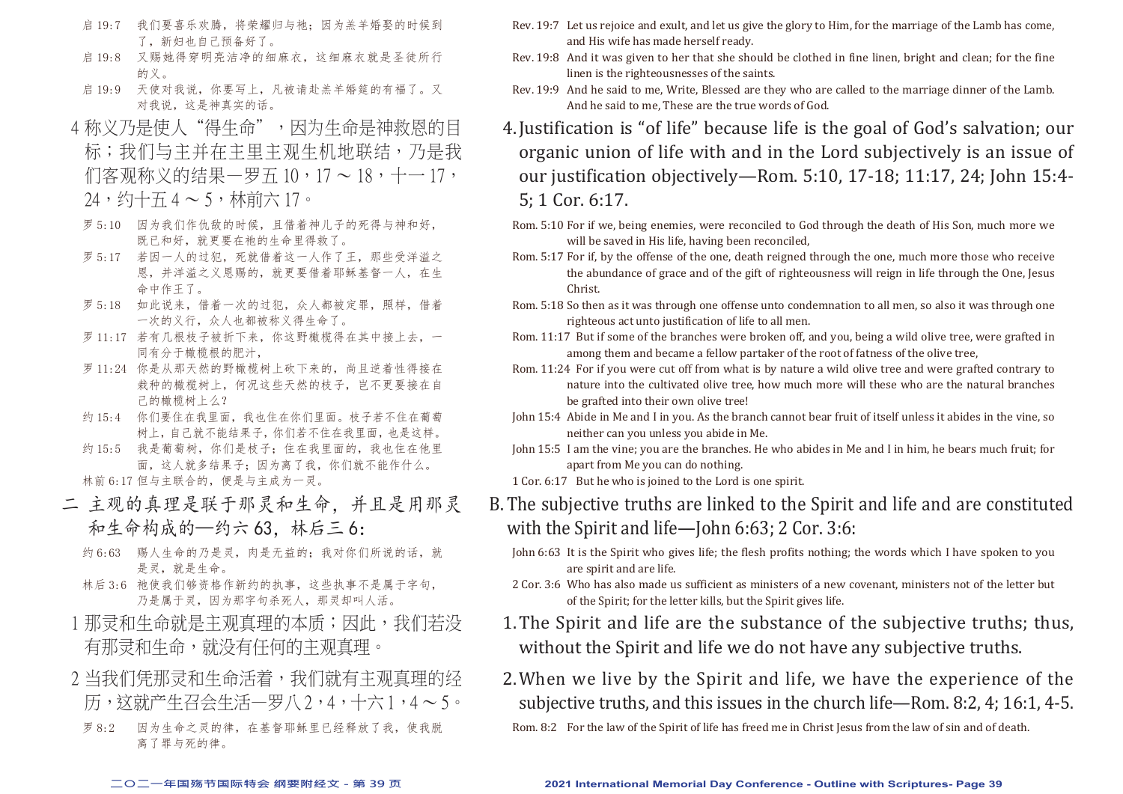- 启 19:7 我们要喜乐欢腾, 将荣耀归与祂; 因为羔羊婚娶的时候到 了,新妇也自己预备好了。
- 启 19:8 又赐她得穿明亮洁净的细麻衣,这细麻衣就是圣徒所行 的义。
- 启 19:9 天使对我说,你要写上,凡被请赴羔羊婚筵的有福了。又 对我说,这是神真实的话。
- 4 称义乃是使人"得生命",因为生命是神救恩的目 标;我们与主并在主里主观生机地联结,乃是我 们客观称义的结果—罗五 $10 \cdot 17 \sim 18$ ,十一 $17 \cdot$  $24,$  约十五 $4 \sim 5$ , 林前六 17。
- 罗 5:10 因为我们作仇敌的时候,且借着神儿子的死得与神和好, 既已和好,就更要在祂的生命里得救了。
- 罗 5:17 若因一人的过犯,死就借着这一人作了王,那些受洋溢之 恩,并洋溢之义恩赐的,就更要借着耶稣基督一人,在生 命中作王了。
- 罗 5:18 如此说来,借着一次的过犯,众人都被定罪,照样,借着 一次的义行,众人也都被称义得生命了。
- 罗 11:17 若有几根枝子被折下来, 你这野橄榄得在其中接上去, 一 同有分于橄榄根的肥汁,
- 罗 11:24 你是从那天然的野橄榄树上砍下来的,尚且逆着性得接在 栽种的橄榄树上,何况这些天然的枝子,岂不更要接在自 己的橄榄树上么?
- 约 15:4 你们要住在我里面,我也住在你们里面。枝子若不住在葡萄 树上,自己就不能结果子,你们若不住在我里面,也是这样。
- 约 15:5 我是葡萄树,你们是枝子;住在我里面的,我也住在他里 面,这人就多结果子;因为离了我,你们就不能作什么。 林前 6:17 但与主联合的,便是与主成为一灵。
- 二 主观的真理是联于那灵和生命,并且是用那灵 和生命构成的—约六 63,林后三 6:
	- 约 6:63 赐人生命的乃是灵,肉是无益的;我对你们所说的话,就 是灵,就是生命。
	- 林后 3:6 祂使我们够资格作新约的执事,这些执事不是属于字句, 乃是属于灵,因为那字句杀死人,那灵却叫人活。
- 1 那灵和生命就是主观直理的本质;因此,我们若没 有那灵和生命,就没有任何的主观真理。
- 2 当我们凭那灵和生命活着,我们就有主观真理的经 历,这就产生召会生活—罗八 2,4,十六 1,4 ~ 5。
- 罗 8:2 因为生命之灵的律,在基督耶稣里已经释放了我,使我脱 离了罪与死的律。
- Rev. 19:7 Let us rejoice and exult, and let us give the glory to Him, for the marriage of the Lamb has come, and His wife has made herself ready.
- Rev. 19:8 And it was given to her that she should be clothed in fine linen, bright and clean; for the fine linen is the righteousnesses of the saints.
- Rev. 19:9 And he said to me, Write, Blessed are they who are called to the marriage dinner of the Lamb. And he said to me, These are the true words of God.
- 4.Justification is "of life" because life is the goal of God's salvation; our organic union of life with and in the Lord subjectively is an issue of our justification objectively—Rom. 5:10, 17-18; 11:17, 24; John 15:4- 5; 1 Cor. 6:17.
	- Rom. 5:10 For if we, being enemies, were reconciled to God through the death of His Son, much more we will be saved in His life, having been reconciled,
	- Rom. 5:17 For if, by the offense of the one, death reigned through the one, much more those who receive the abundance of grace and of the gift of righteousness will reign in life through the One, Jesus Christ.
	- Rom. 5:18 So then as it was through one offense unto condemnation to all men, so also it was through one righteous act unto justification of life to all men.
- Rom. 11:17 But if some of the branches were broken off, and you, being a wild olive tree, were grafted in among them and became a fellow partaker of the root of fatness of the olive tree,
- Rom. 11:24 For if you were cut off from what is by nature a wild olive tree and were grafted contrary to nature into the cultivated olive tree, how much more will these who are the natural branches be grafted into their own olive tree!
- John 15:4 Abide in Me and I in you. As the branch cannot bear fruit of itself unless it abides in the vine, so neither can you unless you abide in Me.
- John 15:5 I am the vine; you are the branches. He who abides in Me and I in him, he bears much fruit; for apart from Me you can do nothing.
- 1 Cor. 6:17 But he who is joined to the Lord is one spirit.
- B.The subjective truths are linked to the Spirit and life and are constituted with the Spirit and life—John 6:63; 2 Cor. 3:6:
	- John 6:63 It is the Spirit who gives life; the flesh profits nothing; the words which I have spoken to you are spirit and are life.
	- 2 Cor. 3:6 Who has also made us sufficient as ministers of a new covenant, ministers not of the letter but of the Spirit; for the letter kills, but the Spirit gives life.
	- 1.The Spirit and life are the substance of the subjective truths; thus, without the Spirit and life we do not have any subjective truths.
	- 2.When we live by the Spirit and life, we have the experience of the subjective truths, and this issues in the church life—Rom. 8:2, 4; 16:1, 4-5.

Rom. 8:2 For the law of the Spirit of life has freed me in Christ Jesus from the law of sin and of death.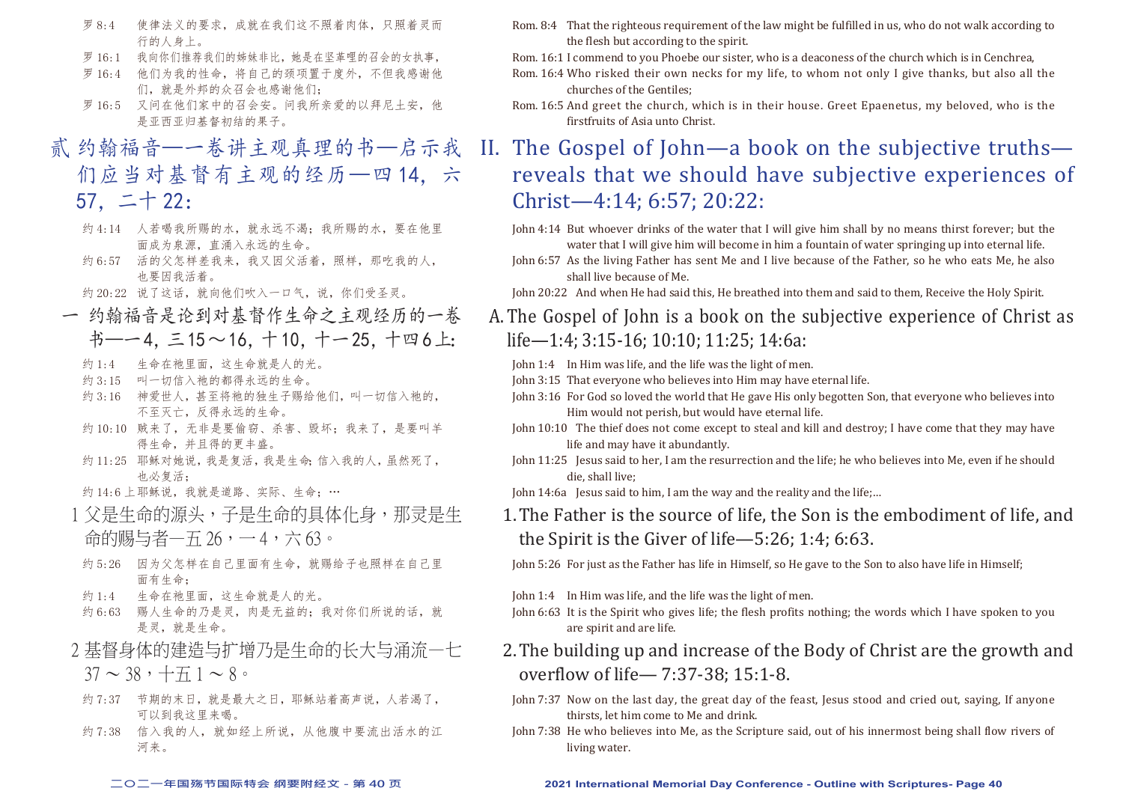- 罗 8:4 使律法义的要求,成就在我们这不照着肉体,只照着灵而 行的人身上。
- 罗 16:1 我向你们推荐我们的姊妹非比,她是在坚革哩的召会的女执事,
- 罗 16:4 他们为我的性命,将自己的颈项置于度外,不但我感谢他 们,就是外邦的众召会也感谢他们;
- 罗 16:5 又问在他们家中的召会安。问我所亲爱的以拜尼十安, 他 是亚西亚归基督初结的果子。
- 贰 约翰福音—一卷讲主观真理的书—启示我 们应当对基督有主观的经历—四 14,六 57,二十 22:
	- 约 4:14 人若喝我所赐的水, 就永远不渴; 我所赐的水, 要在他里 面成为泉源,直涌入永远的生命。
	- 约 6:57 活的父怎样差我来,我又因父活着,照样,那吃我的人, 也要因我活着。
	- 约 20:22 说了这话,就向他们吹入一口气,说,你们受圣灵。
	- 一 约翰福音是论到对基督作生命之主观经历的一卷 书—一4. 三15~16. 十10. 十一25. 十四6上:
		- 约 1:4 生命在祂里面, 这生命就是人的光。
		- 约 3:15 叫一切信入祂的都得永远的生命。
		- 约 3:16 神爱世人, 其至将祂的独生子赐给他们, 叫一切信入祂的, 不至灭亡,反得永远的生命。
		- 约 10:10 贼来了,无非是要偷窃、杀害、毁坏;我来了,是要叫羊 得生命,并且得的更丰盛。
		- 约 11:25 耶稣对她说,我是复活,我是生命;信入我的人,虽然死了, 也必复活;
		- 约  $14:6$  上耶稣说,我就是道路、实际、生命;…
	- 1 父是生命的源头,子是生命的具体化身,那灵是生 命的赐与者—五 26,一 4,六 63。
	- 约 5:26 因为父怎样在自己里面有生命,就赐给子也照样在自己里 面有生命;
	- 约 1:4 生命在祂里面,这生命就是人的光。
	- 约 6:63 赐人生命的乃是灵,肉是无益的;我对你们所说的话,就 是灵,就是生命。
	- 2 基督身体的建造与扩增乃是生命的长大与涌流—七  $37 \sim 38$ ,  $+ \pm 1 \sim 8$
	- 约 7:37 节期的末日, 就是最大之日, 耶稣站着高声说, 人若渴了, 可以到我这里来喝。
	- 约 7:38 信入我的人, 就如经上所说, 从他腹中要流出活水的江 河来。
- Rom. 8:4 That the righteous requirement of the law might be fulfilled in us, who do not walk according to the flesh but according to the spirit.
- Rom. 16:1 I commend to you Phoebe our sister, who is a deaconess of the church which is in Cenchrea,
- Rom. 16:4 Who risked their own necks for my life, to whom not only I give thanks, but also all the churches of the Gentiles;
- Rom. 16:5 And greet the church, which is in their house. Greet Epaenetus, my beloved, who is the firstfruits of Asia unto Christ.

# II. The Gospel of John—a book on the subjective truths reveals that we should have subjective experiences of Christ—4:14; 6:57; 20:22:

John 4:14 But whoever drinks of the water that I will give him shall by no means thirst forever; but the water that I will give him will become in him a fountain of water springing up into eternal life.

- John 6:57 As the living Father has sent Me and I live because of the Father, so he who eats Me, he also shall live because of Me.
- John 20:22 And when He had said this, He breathed into them and said to them, Receive the Holy Spirit.
- A.The Gospel of John is a book on the subjective experience of Christ as life—1:4; 3:15-16; 10:10; 11:25; 14:6a:
	- John 1:4 In Him was life, and the life was the light of men.
	- John 3:15 That everyone who believes into Him may have eternal life.
	- John 3:16 For God so loved the world that He gave His only begotten Son, that everyone who believes into Him would not perish, but would have eternal life.
	- John 10:10 The thief does not come except to steal and kill and destroy; I have come that they may have life and may have it abundantly.
	- John 11:25 Jesus said to her, I am the resurrection and the life; he who believes into Me, even if he should die, shall live;
	- John 14:6a Jesus said to him, I am the way and the reality and the life;…
	- 1.The Father is the source of life, the Son is the embodiment of life, and the Spirit is the Giver of life—5:26; 1:4; 6:63.

John 5:26 For just as the Father has life in Himself, so He gave to the Son to also have life in Himself;

John 1:4 In Him was life, and the life was the light of men.

John 6:63 It is the Spirit who gives life; the flesh profits nothing; the words which I have spoken to you are spirit and are life.

# 2.The building up and increase of the Body of Christ are the growth and overflow of life— 7:37-38; 15:1-8.

- John 7:37 Now on the last day, the great day of the feast, Jesus stood and cried out, saying, If anyone thirsts, let him come to Me and drink.
- John 7:38 He who believes into Me, as the Scripture said, out of his innermost being shall flow rivers of living water.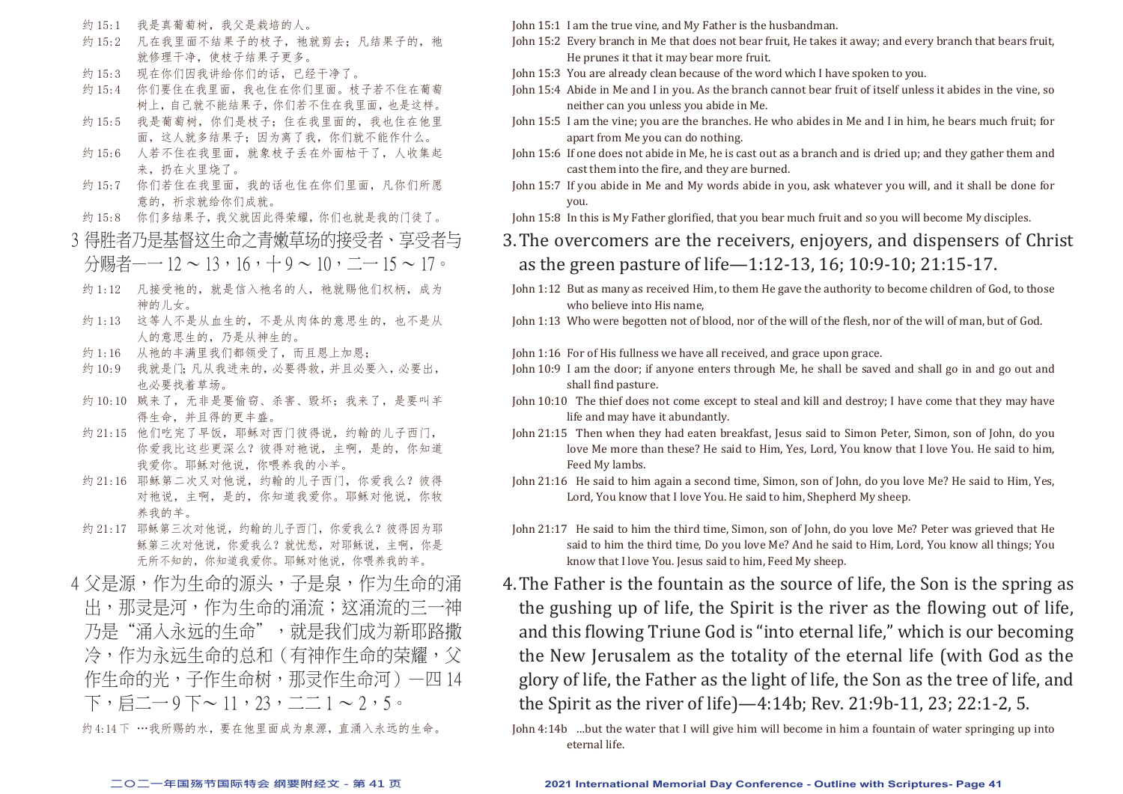- 约 15:1 我是真葡萄树,我父是栽培的人。
- 约 15:2 凡在我里面不结果子的枝子, 祂就剪去; 凡结果子的, 祂 就修理干净,使枝子结果子更多。
- 约 15:3 现在你们因我讲给你们的话,已经干净了。
- 约 15:4 你们要住在我里面,我也住在你们里面。枝子若不住在葡萄 树上,自己就不能结果子,你们若不住在我里面,也是这样。
- 约 15:5 我是葡萄树,你们是枝子;住在我里面的,我也住在他里 面,这人就多结果子;因为离了我,你们就不能作什么。
- 约 15:6 人若不住在我里面, 就象枝子手在外面枯干了, 人收集起 来,扔在火里烧了。
- 约 15:7 你们若住在我里面,我的话也住在你们里面,凡你们所愿 意的,祈求就给你们成就。
- 约 15:8 你们多结果子,我父就因此得荣耀,你们也就是我的门徒了。
- 3 得胜者乃是基督这生命之青嫩草场的接受者、享受者与 分赐者—— $12 \sim 13 \cdot 16 \cdot + 9 \sim 10 \cdot \underline{\hspace{0.3cm}} - 15 \sim 17$ 。
- 约 1:12 凡接受祂的, 就是信入祂名的人, 祂就赐他们权柄, 成为 神的儿女。
- 约 1:13 这等人不是从血生的,不是从肉体的意思生的,也不是从 人的意思生的,乃是从神生的。
- 约 1:16 从祂的丰满里我们都领受了,而且恩上加恩;
- 约 10:9 我就是门;凡从我进来的,必要得救,并且必要入,必要出, 也必要找着草场。
- 约 10:10 贼来了, 无非是要偷窃、杀害、毁坏; 我来了, 是要叫羊 得生命,并且得的更丰盛。
- 约 21:15 他们吃完了早饭, 耶稣对西门彼得说, 约翰的儿子西门, 你爱我比这些更深么?彼得对祂说,主啊,是的,你知道 我爱你。耶稣对他说,你喂养我的小羊。
- 约 21:16 耶稣第二次又对他说, 约翰的儿子西门, 你爱我么? 彼得 对祂说,主啊,是的,你知道我爱你。耶稣对他说,你牧 养我的羊。
- 约 21:17 耶稣第三次对他说, 约翰的儿子西门, 你爱我么?彼得因为耶 稣第三次对他说,你爱我么?就忧愁,对耶稣说,主啊,你是 无所不知的,你知道我爱你。耶稣对他说,你喂养我的羊。
- 4 父是源,作为生命的源头,子是泉,作为生命的涌 出,那灵是河,作为生命的涌流;这涌流的三一神 乃是"涌入永远的生命",就是我们成为新耶路撒 冷,作为永远生命的总和(有神作生命的荣耀,父 作生命的光,子作生命树,那灵作生命河)—四 14 下, 后二 - 9 下 ~ 11, 23, 二 1 ~ 2, 5。

约 4:14 下 …我所赐的水,要在他里面成为泉源,直涌入永远的生命。

John 15:1 I am the true vine, and My Father is the husbandman.

- John 15:2 Every branch in Me that does not bear fruit, He takes it away; and every branch that bears fruit, He prunes it that it may bear more fruit.
- John 15:3 You are already clean because of the word which I have spoken to you.
- John 15:4 Abide in Me and I in you. As the branch cannot bear fruit of itself unless it abides in the vine, so neither can you unless you abide in Me.
- John 15:5 I am the vine; you are the branches. He who abides in Me and I in him, he bears much fruit; for apart from Me you can do nothing.
- John 15:6 If one does not abide in Me, he is cast out as a branch and is dried up; and they gather them and cast them into the fire, and they are burned.
- John 15:7 If you abide in Me and My words abide in you, ask whatever you will, and it shall be done for you.
- John 15:8 In this is My Father glorified, that you bear much fruit and so you will become My disciples.
- 3.The overcomers are the receivers, enjoyers, and dispensers of Christ as the green pasture of life—1:12-13, 16; 10:9-10; 21:15-17.
- John 1:12 But as many as received Him, to them He gave the authority to become children of God, to those who believe into His name,
- John 1:13 Who were begotten not of blood, nor of the will of the flesh, nor of the will of man, but of God.
- John 1:16 For of His fullness we have all received, and grace upon grace.
- John 10:9 I am the door; if anyone enters through Me, he shall be saved and shall go in and go out and shall find pasture.
- John 10:10 The thief does not come except to steal and kill and destroy; I have come that they may have life and may have it abundantly.
- John 21:15 Then when they had eaten breakfast, Jesus said to Simon Peter, Simon, son of John, do you love Me more than these? He said to Him, Yes, Lord, You know that I love You. He said to him, Feed My lambs.
- John 21:16 He said to him again a second time, Simon, son of John, do you love Me? He said to Him, Yes, Lord, You know that I love You. He said to him, Shepherd My sheep.
- John 21:17 He said to him the third time, Simon, son of John, do you love Me? Peter was grieved that He said to him the third time, Do you love Me? And he said to Him, Lord, You know all things; You know that I love You. Jesus said to him, Feed My sheep.
- 4.The Father is the fountain as the source of life, the Son is the spring as the gushing up of life, the Spirit is the river as the flowing out of life, and this flowing Triune God is "into eternal life," which is our becoming the New Jerusalem as the totality of the eternal life (with God as the glory of life, the Father as the light of life, the Son as the tree of life, and the Spirit as the river of life)—4:14b; Rev. 21:9b-11, 23; 22:1-2, 5.
- John 4:14b …but the water that I will give him will become in him a fountain of water springing up into eternal life.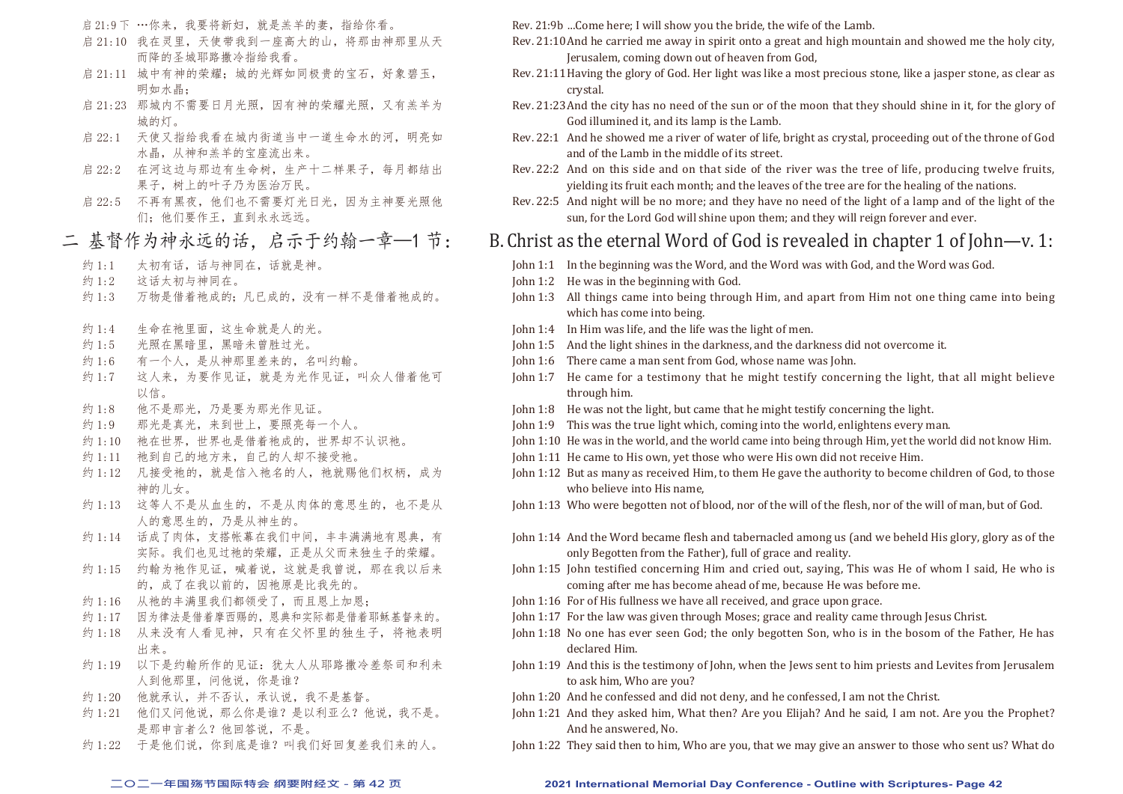- 启 21:9 下 …你来,我要将新妇,就是羔羊的妻,指给你看。
- 启 21:10 我在灵里,天使带我到一座高大的山,将那由神那里从天 而降的圣城耶路撒冷指给我看。
- 启 21:11 城中有神的荣耀; 城的光辉如同极贵的宝石, 好象碧玉, 明如水晶;
- 启 21:23 那城内不需要日月光照,因有神的荣耀光照,又有羔羊为 城的灯。
- 启 22:1 天使又指给我看在城内街道当中一道生命水的河, 明亮如 水晶,从神和羔羊的宝座流出来。
- 启 22:2 在河这边与那边有生命树,生产十二样果子,每月都结出 果子,树上的叶子乃为医治万民。
- 启 22:5 不再有黑夜,他们也不需要灯光日光,因为主神要光照他 们;他们要作王,直到永永远远。

## 二 基督作为神永远的话,启示于约翰一章—1 节:

- 约 1:1 太初有话, 话与神同在, 话就是神。
- 约 1:2 这话太初与神同在。
- 约 1:3 万物是借着祂成的;凡已成的,没有一样不是借着祂成的。
- 约 1:4 生命在祂里面, 这生命就是人的光。
- 约 1:5 光照在黑暗里,黑暗未曾胜过光。
- 约 1:6 有一个人,是从神那里差来的,名叫约翰。
- 约 1:7 这人来,为要作见证, 就是为光作见证, 叫众人借着他可 以信。
- 约 1:8 他不是那光,乃是要为那光作见证。
- 约 1:9 那光是真光,来到世上,要照亮每一个人。
- 约 1:10 祂在世界, 世界也是借着祂成的, 世界却不认识祂。
- 约 1:11 祂到自己的地方来,自己的人却不接受祂。
- 约 1:12 凡接受祂的, 就是信入祂名的人, 祂就赐他们权柄, 成为 神的儿女。
- 约 1:13 这等人不是从血生的,不是从肉体的意思生的,也不是从 人的意思生的,乃是从神生的。
- 约 1:14 话成了肉体,支搭帐幕在我们中间,丰丰满满地有恩典,有 实际。我们也见过祂的荣耀,正是从父而来独生子的荣耀。
- 约 1:15 约翰为祂作见证, 喊着说, 这就是我曾说, 那在我以后来 的,成了在我以前的,因祂原是比我先的。
- 约 1:16 从祂的丰满里我们都领受了,而且恩上加恩;
- 约 1:17 因为律法是借着摩西赐的,恩典和实际都是借着耶稣基督来的。
- 约1:18 从来没有人看见神,只有在父怀里的独生子,将祂表明 出来。
- 约 1:19 以下是约翰所作的见证: 犹太人从耶路撒冷差祭司和利未 人到他那里,问他说,你是谁?
- 约 1:20 他就承认,并不否认,承认说,我不是基督。
- 约 1:21 他们又问他说, 那么你是谁?是以利亚么?他说, 我不是。 是那申言者么?他回答说,不是。
- 约 1:22 于是他们说, 你到底是谁?叫我们好回复差我们来的人。

Rev. 21:9b …Come here; I will show you the bride, the wife of the Lamb.

- Rev. 21:10And he carried me away in spirit onto a great and high mountain and showed me the holy city, Jerusalem, coming down out of heaven from God,
- Rev. 21:11Having the glory of God. Her light was like a most precious stone, like a jasper stone, as clear as crystal.
- Rev. 21:23And the city has no need of the sun or of the moon that they should shine in it, for the glory of God illumined it, and its lamp is the Lamb.
- Rev. 22:1 And he showed me a river of water of life, bright as crystal, proceeding out of the throne of God and of the Lamb in the middle of its street.
- Rev. 22:2 And on this side and on that side of the river was the tree of life, producing twelve fruits, yielding its fruit each month; and the leaves of the tree are for the healing of the nations.
- Rev. 22:5 And night will be no more; and they have no need of the light of a lamp and of the light of the sun, for the Lord God will shine upon them; and they will reign forever and ever.

## B. Christ as the eternal Word of God is revealed in chapter 1 of John—v. 1:

- John 1:1 In the beginning was the Word, and the Word was with God, and the Word was God.
- John 1:2 He was in the beginning with God.
- John 1:3 All things came into being through Him, and apart from Him not one thing came into being which has come into being.
- John 1:4 In Him was life, and the life was the light of men.
- John 1:5 And the light shines in the darkness, and the darkness did not overcome it.
- John 1:6 There came a man sent from God, whose name was John.
- John 1:7 He came for a testimony that he might testify concerning the light, that all might believe through him.
- John 1:8 He was not the light, but came that he might testify concerning the light.
- John 1:9 This was the true light which, coming into the world, enlightens every man.
- John 1:10 He was in the world, and the world came into being through Him, yet the world did not know Him.
- John 1:11 He came to His own, yet those who were His own did not receive Him.
- John 1:12 But as many as received Him, to them He gave the authority to become children of God, to those who believe into His name,
- John 1:13 Who were begotten not of blood, nor of the will of the flesh, nor of the will of man, but of God.
- John 1:14 And the Word became flesh and tabernacled among us (and we beheld His glory, glory as of the only Begotten from the Father), full of grace and reality.
- John 1:15 John testified concerning Him and cried out, saying, This was He of whom I said, He who is coming after me has become ahead of me, because He was before me.
- John 1:16 For of His fullness we have all received, and grace upon grace.
- John 1:17 For the law was given through Moses; grace and reality came through Jesus Christ.
- John 1:18 No one has ever seen God; the only begotten Son, who is in the bosom of the Father, He has declared Him.
- John 1:19 And this is the testimony of John, when the Jews sent to him priests and Levites from Jerusalem to ask him, Who are you?
- John 1:20 And he confessed and did not deny, and he confessed, I am not the Christ.
- John 1:21 And they asked him, What then? Are you Elijah? And he said, I am not. Are you the Prophet? And he answered, No.
- John 1:22 They said then to him, Who are you, that we may give an answer to those who sent us? What do

#### **二○二一年国殇节国际特会 纲要附经文 - 第 42 页 2021 International Memorial Day Conference - Outline with Scriptures- Page 42**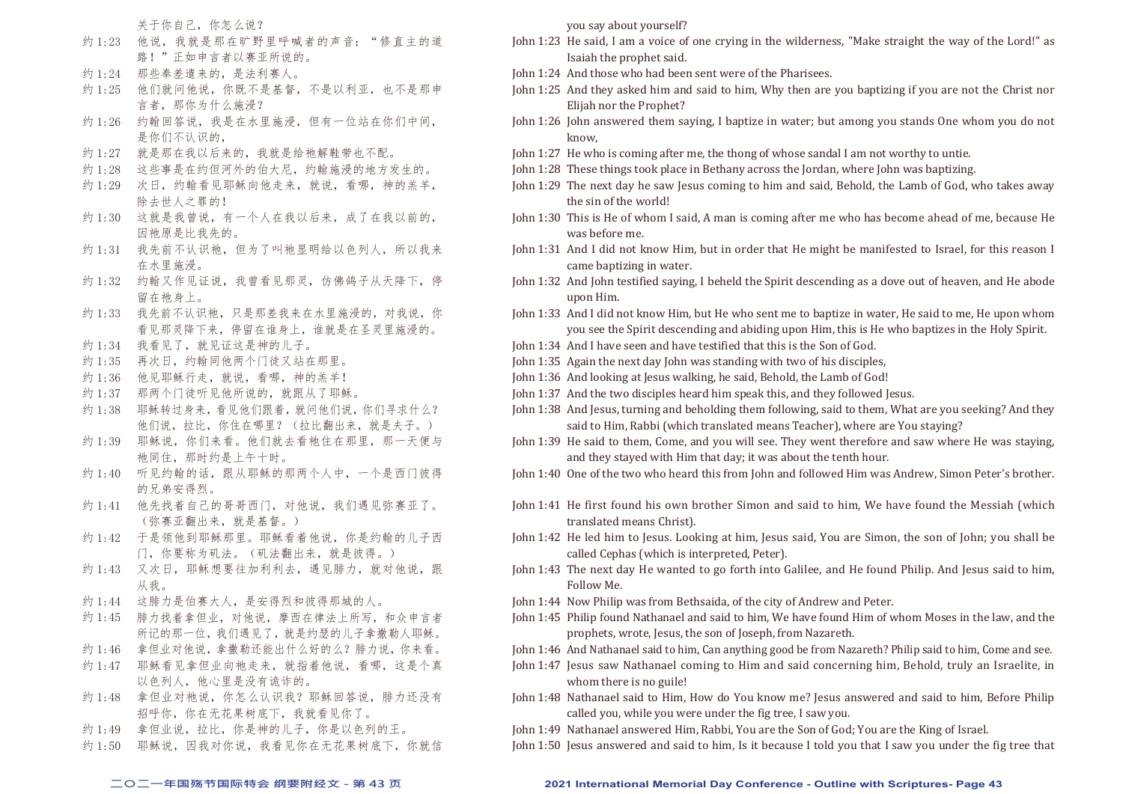关于你自己,你怎么说?

- 约 1:23 他说,我就是那在旷野里呼喊者的声音: "修直主的道 路!"正如申言者以赛亚所说的。
- 约 1:24 那些奉差遣来的, 是法利赛人。
- 约 1:25 他们就问他说,你既不是基督,不是以利亚,也不是那申 言者,那你为什么施浸?
- 约 1:26 约翰回答说,我是在水里施浸,但有一位站在你们中间, 是你们不认识的,
- 约 1:27 就是那在我以后来的,我就是给祂解鞋带也不配。
- 约 1:28 这些事是在约但河外的伯大尼,约翰施浸的地方发生的。
- 约 1:29 次日,约翰看见耶稣向他走来,就说,看哪,神的羔羊, 除去世人之罪的!
- 约 1:30 这就是我曾说,有一个人在我以后来,成了在我以前的, 因祂原是比我先的。
- 约 1:31 我先前不认识祂, 但为了叫祂显明给以色列人, 所以我来 在水里施浸。
- 约 1:32 约翰又作见证说,我曾看见那灵,仿佛鸽子从天降下,停 留在祂身上。
- 约 1:33 我先前不认识祂,只是那差我来在水里施浸的,对我说,你 看见那灵降下来,停留在谁身上,谁就是在圣灵里施浸的。
- 约 1:34 我看见了, 就见证这是神的儿子。
- 约 1:35 再次日,约翰同他两个门徒又站在那里。
- 约 1:36 他见耶稣行走, 就说, 看哪, 神的羔羊!
- 约 1:37 那两个门徒听见他所说的, 就跟从了耶稣。
- 约 1:38 耶稣转过身来,看见他们跟着,就问他们说,你们寻求什么? 他们说,拉比,你住在哪里?(拉比翻出来,就是夫子。)
- 约 1:39 耶稣说, 你们来看。他们就去看祂住在那里, 那一天便与 祂同住,那时约是上午十时。
- 约 1:40 听见约翰的话,跟从耶稣的那两个人中,一个是西门彼得 的兄弟安得烈。
- 约 1:41 他先找着自己的哥哥西门, 对他说, 我们遇见弥赛亚了。 (弥赛亚翻出来,就是基督。)
- 约 1:42 于是领他到耶稣那里。耶稣看着他说, 你是约翰的儿子西 门,你要称为矶法。(矶法翻出来,就是彼得。)
- 约 1:43 又次日, 耶稣想要往加利利去, 遇见腓力, 就对他说, 跟 从我。
- 约 1:44 这腓力是伯赛大人,是安得烈和彼得那城的人。
- 约 1:45 腓力找着拿但业, 对他说, 摩西在律法上所写, 和众申言者 所记的那一位,我们遇见了,就是约瑟的儿子拿撒勒人耶稣。
- 约 1:46 拿但业对他说,拿撒勒还能出什么好的么?腓力说,你来看。
- 约 1:47 耶稣看见拿但业向祂走来, 就指着他说, 看哪, 这是个真 以色列人,他心里是没有诡诈的。
- 约 1:48 拿但业对祂说, 你怎么认识我? 耶稣回答说, 腓力还没有 招呼你,你在无花果树底下,我就看见你了。
- 约 1:49 拿但业说, 拉比, 你是神的儿子, 你是以色列的王。
- 约 1:50 耶稣说, 因我对你说, 我看见你在无花果树底下, 你就信

you say about yourself?

- John 1:23 He said, I am a voice of one crying in the wilderness, "Make straight the way of the Lord!" as Isaiah the prophet said.
- John 1:24 And those who had been sent were of the Pharisees.
- John 1:25 And they asked him and said to him, Why then are you baptizing if you are not the Christ nor Elijah nor the Prophet?
- John 1:26 John answered them saying, I baptize in water; but among you stands One whom you do not know,
- John 1:27 He who is coming after me, the thong of whose sandal I am not worthy to untie.
- John 1:28 These things took place in Bethany across the Jordan, where John was baptizing.
- John 1:29 The next day he saw Jesus coming to him and said, Behold, the Lamb of God, who takes away the sin of the world!
- John 1:30 This is He of whom I said, A man is coming after me who has become ahead of me, because He was before me.
- John 1:31 And I did not know Him, but in order that He might be manifested to Israel, for this reason I came baptizing in water.
- John 1:32 And John testified saying, I beheld the Spirit descending as a dove out of heaven, and He abode upon Him.
- John 1:33 And I did not know Him, but He who sent me to baptize in water, He said to me, He upon whom you see the Spirit descending and abiding upon Him, this is He who baptizes in the Holy Spirit.
- John 1:34 And I have seen and have testified that this is the Son of God.
- John 1:35 Again the next day John was standing with two of his disciples,
- John 1:36 And looking at Jesus walking, he said, Behold, the Lamb of God!
- John 1:37 And the two disciples heard him speak this, and they followed Jesus.
- John 1:38 And Jesus, turning and beholding them following, said to them, What are you seeking? And they said to Him, Rabbi (which translated means Teacher), where are You staying?
- John 1:39 He said to them, Come, and you will see. They went therefore and saw where He was staying, and they stayed with Him that day; it was about the tenth hour.
- John 1:40 One of the two who heard this from John and followed Him was Andrew, Simon Peter's brother.
- John 1:41 He first found his own brother Simon and said to him, We have found the Messiah (which translated means Christ).
- John 1:42 He led him to Jesus. Looking at him, Jesus said, You are Simon, the son of John; you shall be called Cephas (which is interpreted, Peter).
- John 1:43 The next day He wanted to go forth into Galilee, and He found Philip. And Jesus said to him, Follow Me.
- John 1:44 Now Philip was from Bethsaida, of the city of Andrew and Peter.
- John 1:45 Philip found Nathanael and said to him, We have found Him of whom Moses in the law, and the prophets, wrote, Jesus, the son of Joseph, from Nazareth.

John 1:46 And Nathanael said to him, Can anything good be from Nazareth? Philip said to him, Come and see.

- John 1:47 Jesus saw Nathanael coming to Him and said concerning him, Behold, truly an Israelite, in whom there is no guile!
- John 1:48 Nathanael said to Him, How do You know me? Jesus answered and said to him, Before Philip called you, while you were under the fig tree, I saw you.
- John 1:49 Nathanael answered Him, Rabbi, You are the Son of God; You are the King of Israel.
- John 1:50 Jesus answered and said to him, Is it because I told you that I saw you under the fig tree that

#### **二○二一年国殇节国际特会 纲要附经文 - 第 43 页 2021 International Memorial Day Conference - Outline with Scriptures- Page 43**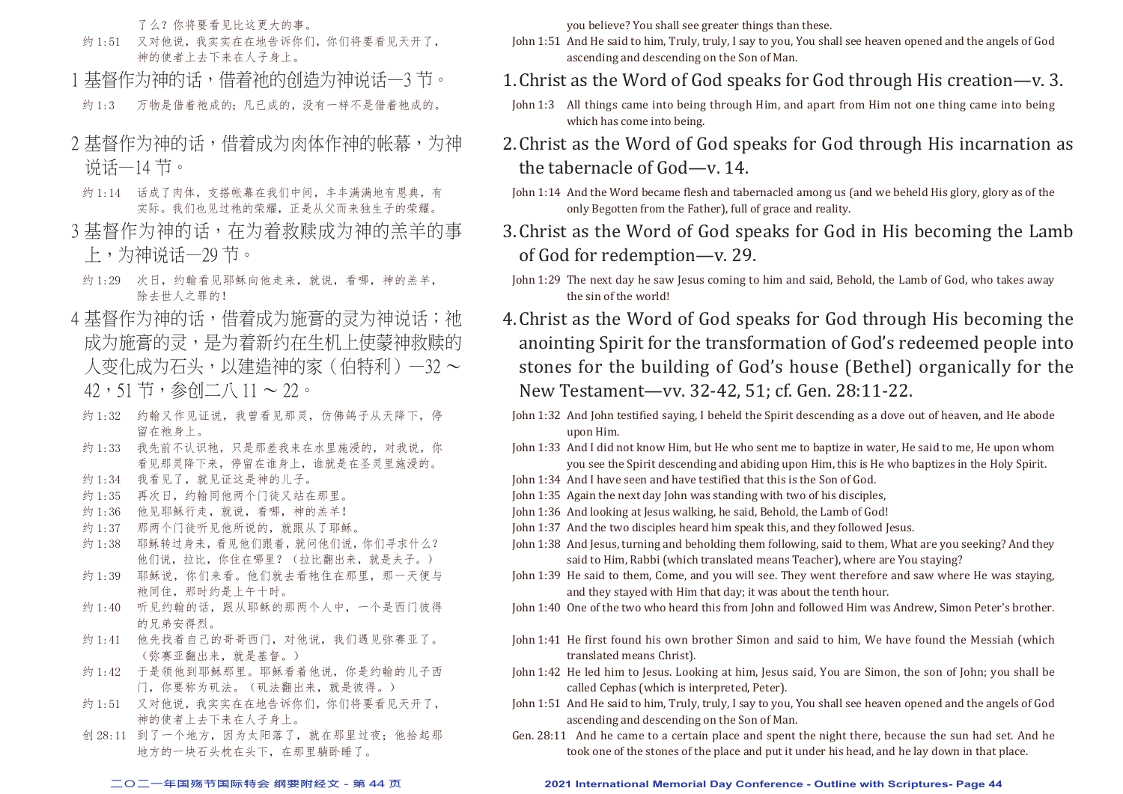了么?你将要看见比这更大的事。

- 约 1:51 又对他说,我实实在在地告诉你们,你们将要看见天开了, 神的使者上去下来在人子身上。
- 1 基督作为神的话,借着祂的创造为神说话一3 节。
- 约 1:3 万物是借着祂成的;凡已成的,没有一样不是借着祂成的。
- 2 基督作为神的话,借着成为肉体作神的帐幕,为神 说话—14 节。
- 约 1:14 话成了肉体, 支搭帐幕在我们中间, 丰丰满满地有恩典, 有 实际。我们也见过祂的荣耀,正是从父而来独生子的荣耀。
- 3 基督作为神的话, 在为着救赎成为神的羔羊的事 上,为神说话—29 节。
- 约 1:29 次日, 约翰看见耶稣向他走来, 就说, 看哪, 神的羔羊, 除去世人之罪的!
- 4 基督作为神的话,借着成为施膏的灵为神说话;祂 成为施膏的灵,是为着新约在生机上使蒙神救赎的 人变化成为石头,以建造神的家(伯特利)—32 ~ 42,51 节,参创二八 11 ~ 22。
- 约 1:32 约翰又作见证说,我曾看见那灵,仿佛鸽子从天降下,停 留在袖身上。
- 约 1:33 我先前不认识祂,只是那差我来在水里施浸的,对我说,你 看见那灵降下来,停留在谁身上,谁就是在圣灵里施浸的。
- 约 1:34 我看见了, 就见证这是神的儿子。
- 约 1:35 再次日, 约翰同他两个门徒又站在那里。
- 约 1:36 他见耶稣行走, 就说, 看哪, 神的羔羊!
- 约 1:37 那两个门徒听见他所说的,就跟从了耶稣。
- 约 1:38 耶稣转过身来,看见他们跟着,就问他们说,你们寻求什么? 他们说,拉比,你住在哪里?(拉比翻出来,就是夫子。)
- 约 1:39 耶稣说, 你们来看。他们就去看祂住在那里, 那一天便与 祂同住,那时约是上午十时。
- 约 1:40 听见约翰的话, 跟从耶稣的那两个人中, 一个是西门彼得 的兄弟安得烈。
- 约 1:41 他先找着自己的哥哥西门, 对他说, 我们遇见弥赛亚了。 (弥赛亚翻出来,就是基督。)
- 约 1:42 于是领他到耶稣那里。耶稣看着他说, 你是约翰的儿子西 门,你要称为矶法。(矶法翻出来,就是彼得。)
- 约 1:51 又对他说,我实实在在地告诉你们,你们将要看见天开了, 神的使者上去下来在人子身上。
- 创 28:11 到了一个地方, 因为太阳落了, 就在那里过夜; 他拾起那 地方的一块石头枕在头下,在那里躺卧睡了。

you believe? You shall see greater things than these.

- John 1:51 And He said to him, Truly, truly, I say to you, You shall see heaven opened and the angels of God ascending and descending on the Son of Man.
- 1.Christ as the Word of God speaks for God through His creation—v. 3.
	- John 1:3 All things came into being through Him, and apart from Him not one thing came into being which has come into being.
- 2.Christ as the Word of God speaks for God through His incarnation as the tabernacle of God—v. 14.
- John 1:14 And the Word became flesh and tabernacled among us (and we beheld His glory, glory as of the only Begotten from the Father), full of grace and reality.
- 3.Christ as the Word of God speaks for God in His becoming the Lamb of God for redemption—v. 29.
- John 1:29 The next day he saw Jesus coming to him and said, Behold, the Lamb of God, who takes away the sin of the world!
- 4.Christ as the Word of God speaks for God through His becoming the anointing Spirit for the transformation of God's redeemed people into stones for the building of God's house (Bethel) organically for the New Testament—vv. 32-42, 51; cf. Gen. 28:11-22.
- John 1:32 And John testified saying, I beheld the Spirit descending as a dove out of heaven, and He abode upon Him.
- John 1:33 And I did not know Him, but He who sent me to baptize in water, He said to me, He upon whom you see the Spirit descending and abiding upon Him, this is He who baptizes in the Holy Spirit.
- John 1:34 And I have seen and have testified that this is the Son of God.
- John 1:35 Again the next day John was standing with two of his disciples,
- John 1:36 And looking at Jesus walking, he said, Behold, the Lamb of God!
- John 1:37 And the two disciples heard him speak this, and they followed Jesus.
- John 1:38 And Jesus, turning and beholding them following, said to them, What are you seeking? And they said to Him, Rabbi (which translated means Teacher), where are You staying?
- John 1:39 He said to them, Come, and you will see. They went therefore and saw where He was staying, and they stayed with Him that day; it was about the tenth hour.
- John 1:40 One of the two who heard this from John and followed Him was Andrew, Simon Peter's brother.
- John 1:41 He first found his own brother Simon and said to him, We have found the Messiah (which translated means Christ).
- John 1:42 He led him to Jesus. Looking at him, Jesus said, You are Simon, the son of John; you shall be called Cephas (which is interpreted, Peter).
- John 1:51 And He said to him, Truly, truly, I say to you, You shall see heaven opened and the angels of God ascending and descending on the Son of Man.
- Gen. 28:11 And he came to a certain place and spent the night there, because the sun had set. And he took one of the stones of the place and put it under his head, and he lay down in that place.

#### **二○二一年国殇节国际特会 纲要附经文 - 第 44 页 2021 International Memorial Day Conference - Outline with Scriptures- Page 44**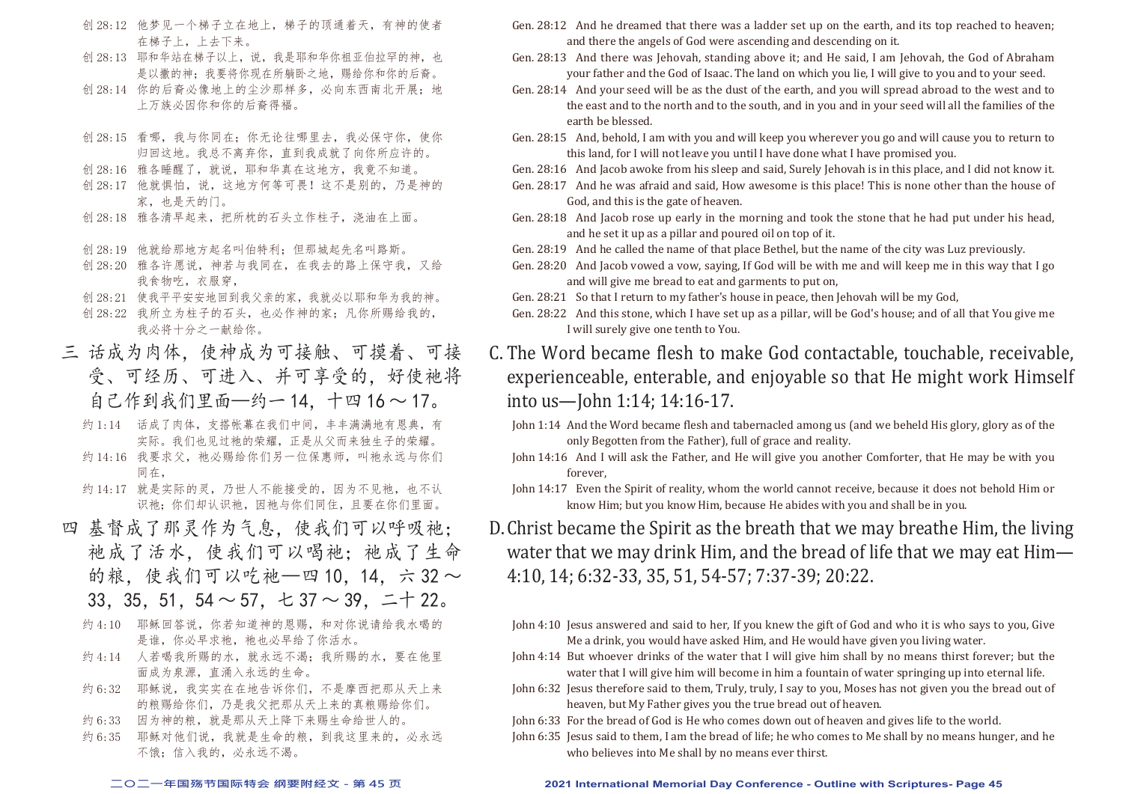- 创 28:12 他梦见一个梯子立在地上,梯子的顶通着天,有神的使者 在梯子上,上去下来。
- 创 28:13 耶和华站在梯子以上,说,我是耶和华你祖亚伯拉罕的神,也 是以撒的神;我要将你现在所躺卧之地,赐给你和你的后裔。
- 创 28:14 你的后裔必像地上的尘沙那样多,必向东西南北开展;地 上万族必因你和你的后裔得福。
- 创 28:15 看哪,我与你同在;你无论往哪里去,我必保守你,使你 归回这地。我总不离弃你,直到我成就了向你所应许的。
- 创 28:16 雅各睡醒了,就说,耶和华真在这地方,我竟不知道。
- 创 28:17 他就惧怕, 说, 这地方何等可畏!这不是别的, 乃是神的 家,也是天的门。
- 创 28:18 雅各清早起来,把所枕的石头立作柱子,浇油在上面。
- 创 28:19 他就给那地方起名叫伯特利;但那城起先名叫路斯。
- 创 28:20 雅各许愿说,神若与我同在,在我去的路上保守我,又给 我食物吃,衣服穿,
- 创 28:21 使我平平安安地回到我父亲的家,我就必以耶和华为我的神。
- 创 28:22 我所立为柱子的石头, 也必作神的家;凡你所赐给我的, 我必将十分之一献给你。
- 三 话成为肉体,使神成为可接触、可摸着、可接 受、可经历、可进入、并可享受的,好使祂将 自己作到我们里面—约一 14,十四 16 ~ 17。
	- 约 1:14 话成了肉体,支搭帐幕在我们中间,丰丰满满地有恩典,有 实际。我们也见过祂的荣耀,正是从父而来独生子的荣耀。
	- 约 14:16 我要求父, 祂必赐给你们另一位保惠师, 叫祂永远与你们 同在,
	- 约 14:17 就是实际的灵,乃世人不能接受的,因为不见祂,也不认 识祂:你们却认识祂,因祂与你们同住,且要在你们里面。
- 四 基督成了那灵作为气息,使我们可以呼吸祂; 祂成了活水,使我们可以喝祂;祂成了生命 的粮,使我们可以吃祂—四 10, 14, 六 32 ~ 33, 35, 51, 54  $\sim$  57,  $\pm$  37  $\sim$  39,  $\pm$   $\pm$  22.
	- 约 4:10 耶稣回答说, 你若知道神的恩赐, 和对你说请给我水喝的 是谁,你必早求祂, 祂也必早给了你活水。
	- 约 4:14 人若喝我所赐的水, 就永远不渴; 我所赐的水, 要在他里 面成为泉源,直涌入永远的生命。
	- 约 6:32 耶稣说, 我实实在在地告诉你们, 不是摩西把那从天上来 的粮赐给你们,乃是我父把那从天上来的真粮赐给你们。
	- 约 6:33 因为神的粮, 就是那从天上降下来赐生命给世人的。
	- 约 6:35 耶稣对他们说,我就是生命的粮,到我这里来的,必永远 不饿;信入我的,必永远不渴。
- Gen. 28:12 And he dreamed that there was a ladder set up on the earth, and its top reached to heaven; and there the angels of God were ascending and descending on it.
- Gen. 28:13 And there was Jehovah, standing above it; and He said, I am Jehovah, the God of Abraham your father and the God of Isaac. The land on which you lie, I will give to you and to your seed.
- Gen. 28:14 And your seed will be as the dust of the earth, and you will spread abroad to the west and to the east and to the north and to the south, and in you and in your seed will all the families of the earth be blessed.
- Gen. 28:15 And, behold, I am with you and will keep you wherever you go and will cause you to return to this land, for I will not leave you until I have done what I have promised you.
- Gen. 28:16 And Jacob awoke from his sleep and said, Surely Jehovah is in this place, and I did not know it.
- Gen. 28:17 And he was afraid and said, How awesome is this place! This is none other than the house of God, and this is the gate of heaven.
- Gen. 28:18 And Jacob rose up early in the morning and took the stone that he had put under his head, and he set it up as a pillar and poured oil on top of it.
- Gen. 28:19 And he called the name of that place Bethel, but the name of the city was Luz previously.
- Gen. 28:20 And Jacob vowed a vow, saying, If God will be with me and will keep me in this way that I go and will give me bread to eat and garments to put on,
- Gen. 28:21 So that I return to my father's house in peace, then Jehovah will be my God,
- Gen. 28:22 And this stone, which I have set up as a pillar, will be God's house; and of all that You give me I will surely give one tenth to You.
- C. The Word became flesh to make God contactable, touchable, receivable, experienceable, enterable, and enjoyable so that He might work Himself into us—John 1:14; 14:16-17.
	- John 1:14 And the Word became flesh and tabernacled among us (and we beheld His glory, glory as of the only Begotten from the Father), full of grace and reality.
	- John 14:16 And I will ask the Father, and He will give you another Comforter, that He may be with you forever,
	- John 14:17 Even the Spirit of reality, whom the world cannot receive, because it does not behold Him or know Him; but you know Him, because He abides with you and shall be in you.
- D.Christ became the Spirit as the breath that we may breathe Him, the living water that we may drink Him, and the bread of life that we may eat Him— 4:10, 14; 6:32-33, 35, 51, 54-57; 7:37-39; 20:22.
	- John 4:10 Jesus answered and said to her, If you knew the gift of God and who it is who says to you, Give Me a drink, you would have asked Him, and He would have given you living water.
	- John 4:14 But whoever drinks of the water that I will give him shall by no means thirst forever; but the water that I will give him will become in him a fountain of water springing up into eternal life.
	- John 6:32 Jesus therefore said to them, Truly, truly, I say to you, Moses has not given you the bread out of heaven, but My Father gives you the true bread out of heaven.
	- John 6:33 For the bread of God is He who comes down out of heaven and gives life to the world.
	- John 6:35 Jesus said to them, I am the bread of life; he who comes to Me shall by no means hunger, and he who believes into Me shall by no means ever thirst.

#### **二○二一年国殇节国际特会 纲要附经文 - 第 45 页 2021 International Memorial Day Conference - Outline with Scriptures- Page 45**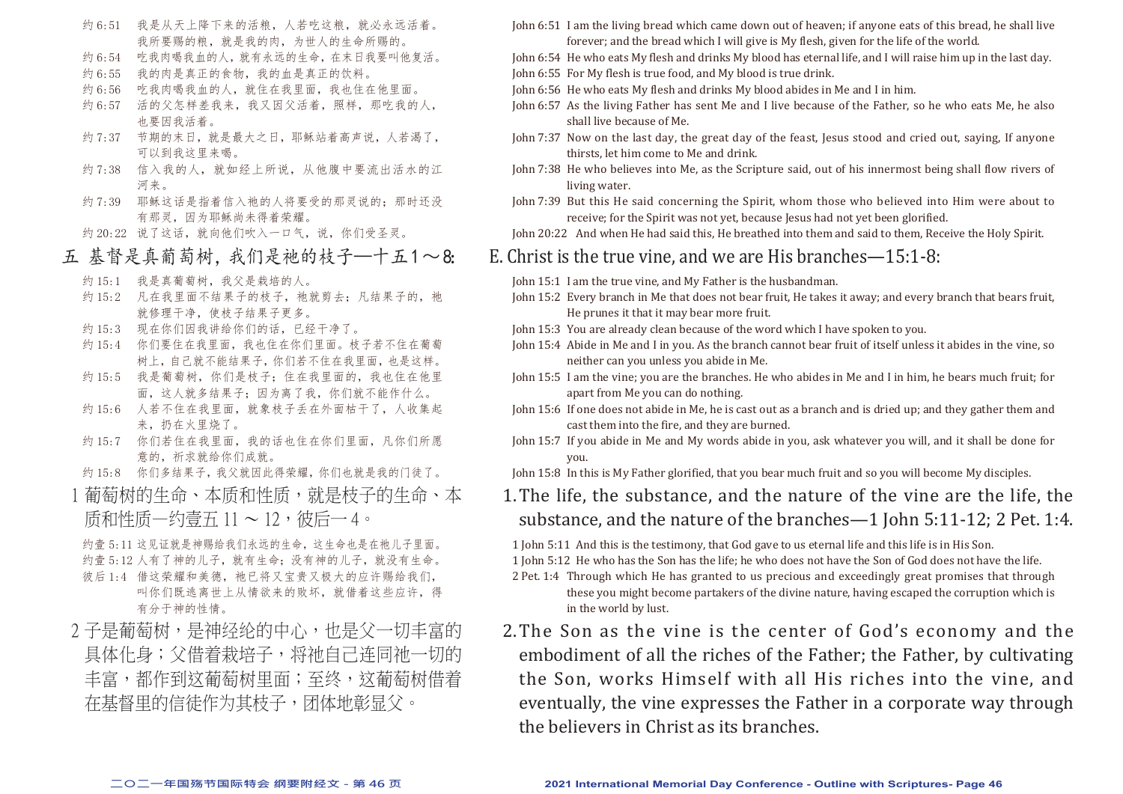- 约 6:51 我是从天上降下来的活粮,人若吃这粮,就必永远活着。 我所要赐的粮,就是我的肉,为世人的生命所赐的。
- 约 6:54 吹我肉喝我血的人, 就有永远的生命, 在末日我要叫他复活。
- 约 6:55 我的肉是真正的食物,我的血是真正的饮料。
- 约 6:56 吃我肉喝我血的人,就住在我里面,我也住在他里面。
- 约 6:57 活的父怎样差我来,我又因父活着,照样,那吃我的人, 也要因我活着。
- 约 7:37 节期的末日, 就是最大之日, 耶稣站着高声说, 人若渴了, 可以到我这里来喝。
- 约 7:38 信入我的人, 就如经上所说, 从他腹中要流出活水的江 河来。
- 约 7:39 耶稣这话是指着信入祂的人将要受的那灵说的;那时还没 有那灵,因为耶稣尚未得着荣耀。
- 约 20:22 说了这话, 就向他们吹入一口气, 说, 你们受圣灵。
- 五 基督是真葡萄树,我们是祂的枝子—十五1~8:
	- 约 15:1 我是真葡萄树,我父是栽培的人。
	- 约 15:2 凡在我里面不结果子的枝子, 祂就剪去; 凡结果子的, 祂 就修理干净,使枝子结果子更多。
	- 约 15:3 现在你们因我讲给你们的话,已经干净了。
	- 约 15:4 你们要住在我里面,我也住在你们里面。枝子若不住在葡萄 树上,自己就不能结果子,你们若不住在我里面,也是这样。
	- 约 15:5 我是葡萄树,你们是枝子;住在我里面的,我也住在他里 面,这人就多结果子;因为离了我,你们就不能作什么。
	- 约 15:6 人若不住在我里面, 就象枝子丢在外面枯干了, 人收集起 来,扔在火里烧了。
	- 约 15:7 你们若住在我里面, 我的话也住在你们里面, 凡你们所愿 意的,祈求就给你们成就。
	- 约 15:8 你们多结果子,我父就因此得荣耀,你们也就是我的门徒了。
- 1葡萄树的生命、本质和性质,就是枝子的生命、本 质和性质—约壹五 11 ~ 12,彼后一 4。

约壹 5:11 这见证就是神赐给我们永远的生命,这生命也是在祂儿子里面。 约壹 5:12 人有了神的儿子, 就有生命; 没有神的儿子, 就没有生命。 彼后 1:4 借这荣耀和美德, 祂已将又宝贵又极大的应许赐给我们, 叫你们既逃离世上从情欲来的败坏,就借着这些应许,得 有分于神的性情。

2 子是葡萄树, 是神经纶的中心, 也是父一切丰富的 具体化身;父借着栽培子,将祂自己连同祂一切的 丰富,都作到这葡萄树里面;至终,这葡萄树借着 在基督里的信徒作为其枝子,团体地彰显父。

- John 6:51 I am the living bread which came down out of heaven; if anyone eats of this bread, he shall live forever; and the bread which I will give is My flesh, given for the life of the world.
- John 6:54 He who eats My flesh and drinks My blood has eternal life, and I will raise him up in the last day. John 6:55 For My flesh is true food, and My blood is true drink.
- John 6:56 He who eats My flesh and drinks My blood abides in Me and I in him.
- John 6:57 As the living Father has sent Me and I live because of the Father, so he who eats Me, he also shall live because of Me.
- John 7:37 Now on the last day, the great day of the feast, Jesus stood and cried out, saying, If anyone thirsts, let him come to Me and drink.
- John 7:38 He who believes into Me, as the Scripture said, out of his innermost being shall flow rivers of living water.
- John 7:39 But this He said concerning the Spirit, whom those who believed into Him were about to receive; for the Spirit was not yet, because Jesus had not yet been glorified.
- John 20:22 And when He had said this, He breathed into them and said to them, Receive the Holy Spirit.

### E. Christ is the true vine, and we are His branches—15:1-8:

John 15:1 I am the true vine, and My Father is the husbandman.

- John 15:2 Every branch in Me that does not bear fruit, He takes it away; and every branch that bears fruit, He prunes it that it may bear more fruit.
- John 15:3 You are already clean because of the word which I have spoken to you.
- John 15:4 Abide in Me and I in you. As the branch cannot bear fruit of itself unless it abides in the vine, so neither can you unless you abide in Me.
- John 15:5 I am the vine; you are the branches. He who abides in Me and I in him, he bears much fruit; for apart from Me you can do nothing.
- John 15:6 If one does not abide in Me, he is cast out as a branch and is dried up; and they gather them and cast them into the fire, and they are burned.
- John 15:7 If you abide in Me and My words abide in you, ask whatever you will, and it shall be done for you.
- John 15:8 In this is My Father glorified, that you bear much fruit and so you will become My disciples.

# 1.The life, the substance, and the nature of the vine are the life, the substance, and the nature of the branches—1 John 5:11-12; 2 Pet. 1:4.

1 John 5:11 And this is the testimony, that God gave to us eternal life and this life is in His Son.

1 John 5:12 He who has the Son has the life; he who does not have the Son of God does not have the life.

- 2 Pet. 1:4 Through which He has granted to us precious and exceedingly great promises that through these you might become partakers of the divine nature, having escaped the corruption which is in the world by lust.
- 2.The Son as the vine is the center of God's economy and the embodiment of all the riches of the Father; the Father, by cultivating the Son, works Himself with all His riches into the vine, and eventually, the vine expresses the Father in a corporate way through the believers in Christ as its branches.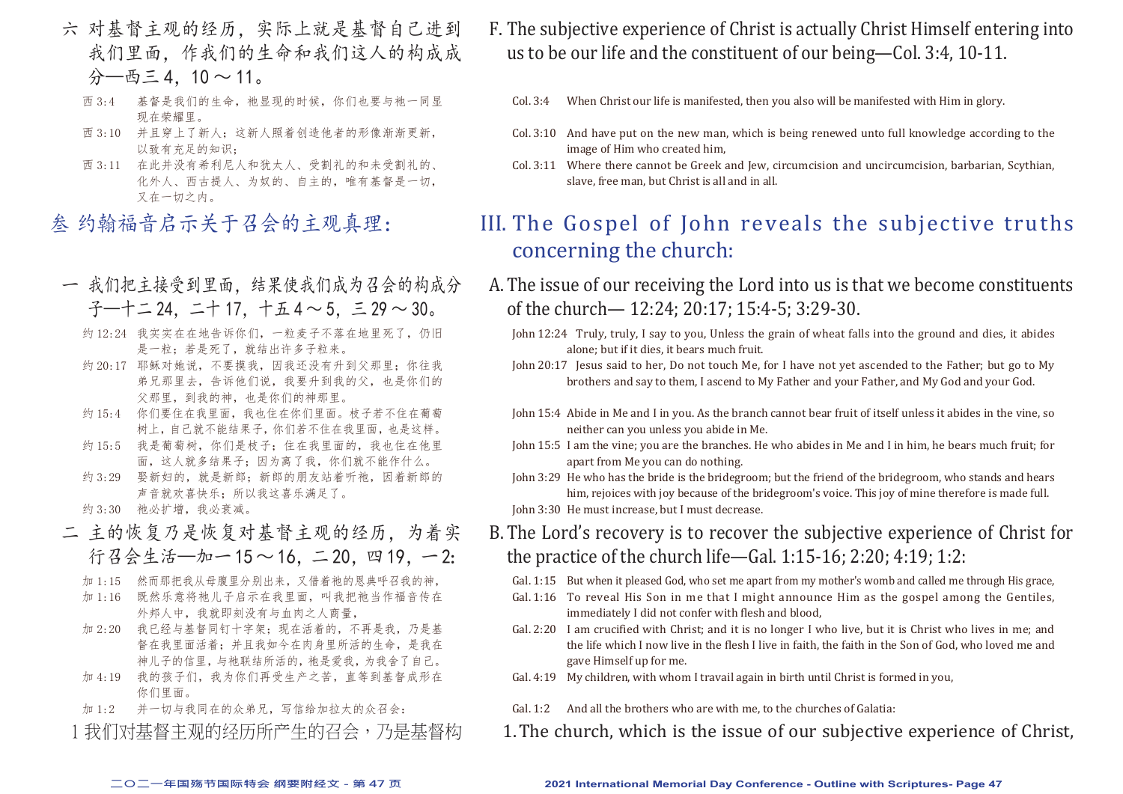- 六 对基督主观的经历,实际上就是基督自己进到 我们里面,作我们的生命和我们这人的构成成 分—西三 4,10 ~ 11。
	- 西 3:4 基督是我们的生命, 祂显现的时候, 你们也要与祂一同显 现在荣耀里。
	- 西 3:10 并且穿上了新人;这新人照着创造他者的形像渐渐更新, 以致有充足的知识;
	- 西 3:11 在此并没有希利尼人和犹太人、受割礼的和未受割礼的、 化外人、西古提人、为奴的、自主的,唯有基督是一切, 又在一切之内。
- 叁 约翰福音启示关于召会的主观真理:
- 一 我们把主接受到里面,结果使我们成为召会的构成分 子—十二 24,二十 17,十五 4 ~ 5,三 29 ~ 30。
	- 约 12:24 我实实在在地告诉你们,一粒麦子不落在地里死了,仍旧 是一粒;若是死了,就结出许多子粒来。
	- 约 20:17 耶稣对她说,不要摸我,因我还没有升到父那里;你往我 弟兄那里去,告诉他们说,我要升到我的父,也是你们的 父那里,到我的神,也是你们的神那里。
	- 约 15:4 你们要住在我里面,我也住在你们里面。枝子若不住在葡萄 树上,自己就不能结果子,你们若不住在我里面,也是这样。
	- 约 15:5 我是葡萄树,你们是枝子;住在我里面的,我也住在他里 面,这人就多结果子;因为离了我,你们就不能作什么。
	- 约 3:29 娶新妇的, 就是新郎; 新郎的朋友站着听祂, 因着新郎的 声音就欢喜快乐;所以我这喜乐满足了。
	- 约 3:30 祂必扩增, 我必衰减。
- 二 主的恢复乃是恢复对基督主观的经历,为着实 行召会生活—加一15~16, 二20, 四19, 一2:
	- 加 1:15 然而那把我从母腹里分别出来,又借着祂的恩典呼召我的神,
	- 加 1:16 既然乐意将祂儿子启示在我里面,叫我把祂当作福音传在 外邦人中,我就即刻没有与血肉之人商量,
	- 加 2:20 我已经与基督同钉十字架;现在活着的,不再是我,乃是基 督在我里面活着;并且我如今在肉身里所活的生命,是我在 神儿子的信里,与祂联结所活的,祂是爱我,为我舍了自己。
	- 加 4:19 我的孩子们,我为你们再受生产之苦,直等到基督成形在 你们里面。
	- 加 1:2 并一切与我同在的众弟兄,写信给加拉太的众召会:
	- 1 我们对基督主观的经历所产生的召会,乃是基督构
- F. The subjective experience of Christ is actually Christ Himself entering into us to be our life and the constituent of our being—Col. 3:4, 10-11.
	- Col. 3:4 When Christ our life is manifested, then you also will be manifested with Him in glory.
	- Col. 3:10 And have put on the new man, which is being renewed unto full knowledge according to the image of Him who created him,
	- Col. 3:11 Where there cannot be Greek and Jew, circumcision and uncircumcision, barbarian, Scythian, slave, free man, but Christ is all and in all.

# III. The Gospel of John reveals the subjective truths concerning the church:

- A.The issue of our receiving the Lord into us is that we become constituents of the church— 12:24; 20:17; 15:4-5; 3:29-30.
	- John 12:24 Truly, truly, I say to you, Unless the grain of wheat falls into the ground and dies, it abides alone; but if it dies, it bears much fruit.
	- John 20:17 Jesus said to her, Do not touch Me, for I have not yet ascended to the Father; but go to My brothers and say to them, I ascend to My Father and your Father, and My God and your God.
	- John 15:4 Abide in Me and I in you. As the branch cannot bear fruit of itself unless it abides in the vine, so neither can you unless you abide in Me.
	- John 15:5 I am the vine; you are the branches. He who abides in Me and I in him, he bears much fruit; for apart from Me you can do nothing.
	- John 3:29 He who has the bride is the bridegroom; but the friend of the bridegroom, who stands and hears him, rejoices with joy because of the bridegroom's voice. This joy of mine therefore is made full. John 3:30 He must increase, but I must decrease.
- B.The Lord's recovery is to recover the subjective experience of Christ for the practice of the church life—Gal. 1:15-16; 2:20; 4:19; 1:2:
	- Gal. 1:15 But when it pleased God, who set me apart from my mother's womb and called me through His grace,
	- Gal. 1:16 To reveal His Son in me that I might announce Him as the gospel among the Gentiles, immediately I did not confer with flesh and blood,
	- Gal. 2:20 I am crucified with Christ; and it is no longer I who live, but it is Christ who lives in me; and the life which I now live in the flesh I live in faith, the faith in the Son of God, who loved me and gave Himself up for me.
	- Gal. 4:19 My children, with whom I travail again in birth until Christ is formed in you,
	- Gal. 1:2 And all the brothers who are with me, to the churches of Galatia:
- 1.The church, which is the issue of our subjective experience of Christ,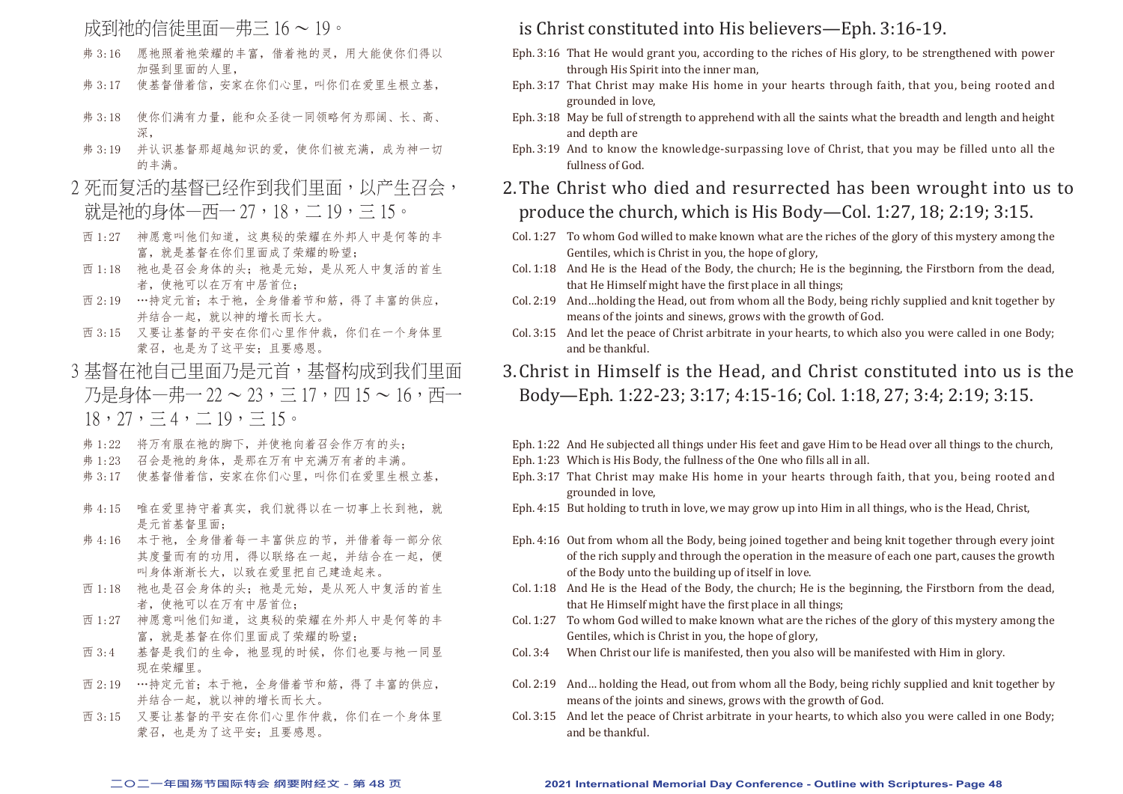## 成到祂的信徒里面—弗三 16 ~ 19。

- 弗 3:16 愿祂照着祂荣耀的丰富,借着祂的灵,用大能使你们得以 加强到里面的人里,
- 弗 3:17 使基督借着信,安家在你们心里,叫你们在爱里生根立基,
- 弗 3:18 使你们满有力量,能和众圣徒一同领略何为那阔、长、高、 深,
- 弗 3:19 并认识基督那超越知识的爱,使你们被充满,成为神一切 的丰满。
- 2 死而复活的基督已经作到我们里面, 以产生召会, 就是祂的身体—西— 27,18,二 19,三 15。
- 西 1:27 神愿意叫他们知道,这奥秘的荣耀在外邦人中是何等的丰 富,就是基督在你们里面成了荣耀的盼望;
- 西 1:18 祂也是召会身体的头; 祂是元始, 是从死人中复活的首生 者, 使祂可以在万有中居首位;
- 西 2:19 …持定元首;本于祂,全身借着节和筋,得了丰富的供应, 并结合一起,就以神的增长而长大。
- 西 3:15 又要让基督的平安在你们心里作仲裁,你们在一个身体里 蒙召, 也是为了这平安; 且要感恩。
- 3 基督在祂自己里面乃是元首,基督构成到我们里面 乃是身体—弗— 22 ~ 23,三 17,四 15 ~ 16,西—  $18, 27, \equiv 4, \equiv 19, \equiv 15$ 
	- 弗 1:22 将万有服在祂的脚下,并使祂向着召会作万有的头;
	- 弗 1:23 召会是祂的身体,是那在万有中充满万有者的丰满。
	- 弗 3:17 使基督借着信,安家在你们心里,叫你们在爱里生根立基,
	- 弗 4:15 唯在爱里持守着真实, 我们就得以在一切事上长到祂, 就 是元首基督里面;
	- 弗 4:16 本于祂,全身借着每一丰富供应的节,并借着每一部分依 其度量而有的功用,得以联络在一起,并结合在一起,便 叫身体渐渐长大,以致在爱里把自己建造起来。
	- 西 1:18 祂也是召会身体的头;祂是元始,是从死人中复活的首生 者,使祂可以在万有中居首位;
	- 西 1:27 神愿意叫他们知道,这奥秘的荣耀在外邦人中是何等的丰 富,就是基督在你们里面成了荣耀的盼望;
	- 西 3:4 基督是我们的生命, 祂显现的时候, 你们也要与祂一同显 现在荣耀里。
	- 西 2:19 …持定元首;本于祂,全身借着节和筋,得了丰富的供应, 并结合一起,就以神的增长而长大。
	- 西 3:15 又要让基督的平安在你们心里作仲裁,你们在一个身体里 蒙召, 也是为了这平安; 目要感恩。

## is Christ constituted into His believers—Eph. 3:16-19.

- Eph. 3:16 That He would grant you, according to the riches of His glory, to be strengthened with power through His Spirit into the inner man,
- Eph. 3:17 That Christ may make His home in your hearts through faith, that you, being rooted and grounded in love,
- Eph. 3:18 May be full of strength to apprehend with all the saints what the breadth and length and height and depth are
- Eph. 3:19 And to know the knowledge-surpassing love of Christ, that you may be filled unto all the fullness of God.
- 2.The Christ who died and resurrected has been wrought into us to produce the church, which is His Body—Col. 1:27, 18; 2:19; 3:15.
- Col. 1:27 To whom God willed to make known what are the riches of the glory of this mystery among the Gentiles, which is Christ in you, the hope of glory,
- Col. 1:18 And He is the Head of the Body, the church; He is the beginning, the Firstborn from the dead, that He Himself might have the first place in all things;
- Col. 2:19 And…holding the Head, out from whom all the Body, being richly supplied and knit together by means of the joints and sinews, grows with the growth of God.
- Col. 3:15 And let the peace of Christ arbitrate in your hearts, to which also you were called in one Body; and be thankful.
- 3.Christ in Himself is the Head, and Christ constituted into us is the Body—Eph. 1:22-23; 3:17; 4:15-16; Col. 1:18, 27; 3:4; 2:19; 3:15.
- Eph. 1:22 And He subjected all things under His feet and gave Him to be Head over all things to the church,
- Eph. 1:23 Which is His Body, the fullness of the One who fills all in all.
- Eph. 3:17 That Christ may make His home in your hearts through faith, that you, being rooted and grounded in love,
- Eph. 4:15 But holding to truth in love, we may grow up into Him in all things, who is the Head, Christ,
- Eph. 4:16 Out from whom all the Body, being joined together and being knit together through every joint of the rich supply and through the operation in the measure of each one part, causes the growth of the Body unto the building up of itself in love.
- Col. 1:18 And He is the Head of the Body, the church; He is the beginning, the Firstborn from the dead, that He Himself might have the first place in all things;
- Col. 1:27 To whom God willed to make known what are the riches of the glory of this mystery among the Gentiles, which is Christ in you, the hope of glory,
- Col. 3:4 When Christ our life is manifested, then you also will be manifested with Him in glory.
- Col. 2:19 And… holding the Head, out from whom all the Body, being richly supplied and knit together by means of the joints and sinews, grows with the growth of God.
- Col. 3:15 And let the peace of Christ arbitrate in your hearts, to which also you were called in one Body; and be thankful.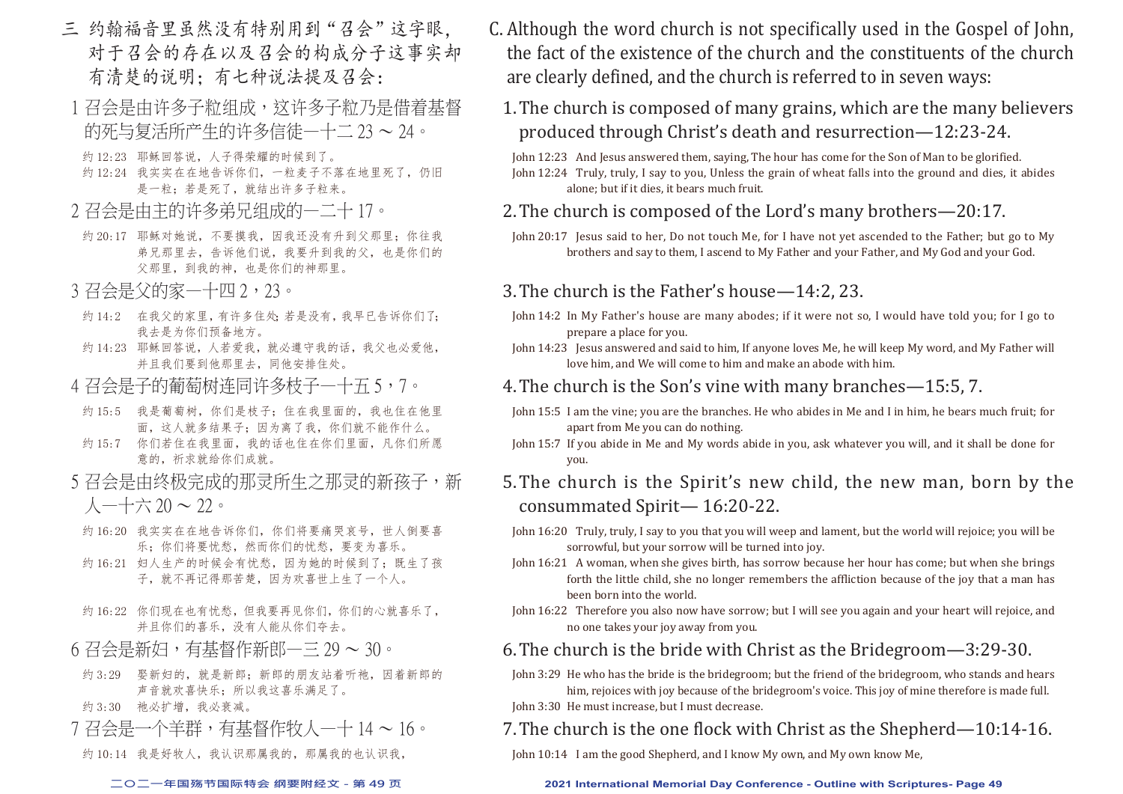- 三 约翰福音里虽然没有特别用到"召会"这字眼, 对于召会的存在以及召会的构成分子这事实却 有清楚的说明;有七种说法提及召会:
- 1 召会是由许多子粒成, 这许多子粒乃是借着基督 的死与复活所产生的许多信徒—十二 23 ~ 24。
- 约 12:23 耶稣回答说,人子得荣耀的时候到了。
- 约 12:24 我实实在在地告诉你们,一粒麦子不落在地里死了,仍旧 是一粒;若是死了,就结出许多子粒来。
- 2 召会是由主的许多弟兄组成的—二十 17。
- 约 20:17 耶稣对她说,不要摸我,因我还没有升到父那里;你往我 弟兄那里去,告诉他们说,我要升到我的父,也是你们的 父那里,到我的神,也是你们的神那里。
- 3 召会是父的家—十四 2,23。
- 约 14:2 在我父的家里, 有许多住处; 若是没有, 我早已告诉你们了; 我去是为你们预备地方。
- 约 14:23 耶稣回答说, 人若爱我, 就必遵守我的话, 我父也必爱他, 并且我们要到他那里去,同他安排住处。
- 4 召会是子的葡萄树连同许多枝子一十五 5,7。
- 约 15:5 我是葡萄树, 你们是枝子; 住在我里面的, 我也住在他里 面,这人就多结果子;因为离了我,你们就不能作什么。
- 约 15:7 你们若住在我里面,我的话也住在你们里面,凡你们所愿 意的,祈求就给你们成就。
- 5 召会是由终极完成的那灵所生之那灵的新孩子,新  $\lambda$  —十六 20 ~ 22。
- 约 16:20 我实实在在地告诉你们, 你们将要痛哭哀号, 世人倒要喜 乐;你们将要忧愁,然而你们的忧愁,要变为喜乐。
- 约 16:21 妇人生产的时候会有忧愁,因为她的时候到了;既生了孩 子, 就不再记得那苦楚, 因为欢喜世上生了一个人。
- 约 16:22 你们现在也有忧愁,但我要再见你们,你们的心就喜乐了, 并且你们的喜乐,没有人能从你们夺去。
- 6 召会是新妇,有基督作新郎—三 29 ~ 30。
	- 约 3:29 娶新妇的,就是新郎;新郎的朋友站着听袖,因着新郎的 声音就欢喜快乐;所以我这喜乐满足了。
	- 约 3:30 祂必扩增,我必衰减。
- 7 召会是一个羊群,有基督作牧人—十 14 ~ 16。
- 约 10:14 我是好牧人,我认识那属我的,那属我的也认识我,

- C. Although the word church is not specifically used in the Gospel of John, the fact of the existence of the church and the constituents of the church are clearly defined, and the church is referred to in seven ways:
	- 1.The church is composed of many grains, which are the many believers produced through Christ's death and resurrection—12:23-24.

John 12:23 And Jesus answered them, saying, The hour has come for the Son of Man to be glorified. John 12:24 Truly, truly, I say to you, Unless the grain of wheat falls into the ground and dies, it abides alone; but if it dies, it bears much fruit.

## 2.The church is composed of the Lord's many brothers—20:17.

John 20:17 Jesus said to her, Do not touch Me, for I have not yet ascended to the Father; but go to My brothers and say to them, I ascend to My Father and your Father, and My God and your God.

### 3.The church is the Father's house—14:2, 23.

- John 14:2 In My Father's house are many abodes; if it were not so, I would have told you; for I go to prepare a place for you.
- John 14:23 Jesus answered and said to him, If anyone loves Me, he will keep My word, and My Father will love him, and We will come to him and make an abode with him.

### 4.The church is the Son's vine with many branches—15:5, 7.

- John 15:5 I am the vine; you are the branches. He who abides in Me and I in him, he bears much fruit; for apart from Me you can do nothing.
- John 15:7 If you abide in Me and My words abide in you, ask whatever you will, and it shall be done for you.

# 5.The church is the Spirit's new child, the new man, born by the consummated Spirit— 16:20-22.

- John 16:20 Truly, truly, I say to you that you will weep and lament, but the world will rejoice; you will be sorrowful, but your sorrow will be turned into joy.
- John 16:21 A woman, when she gives birth, has sorrow because her hour has come; but when she brings forth the little child, she no longer remembers the affliction because of the joy that a man has been born into the world.
- John 16:22 Therefore you also now have sorrow; but I will see you again and your heart will rejoice, and no one takes your joy away from you.

## 6.The church is the bride with Christ as the Bridegroom—3:29-30.

John 3:29 He who has the bride is the bridegroom; but the friend of the bridegroom, who stands and hears him, rejoices with joy because of the bridegroom's voice. This joy of mine therefore is made full. John 3:30 He must increase, but I must decrease.

## 7.The church is the one flock with Christ as the Shepherd—10:14-16.

John 10:14 I am the good Shepherd, and I know My own, and My own know Me,

#### **二○二一年国殇节国际特会 纲要附经文 - 第 49 页 2021 International Memorial Day Conference - Outline with Scriptures- Page 49**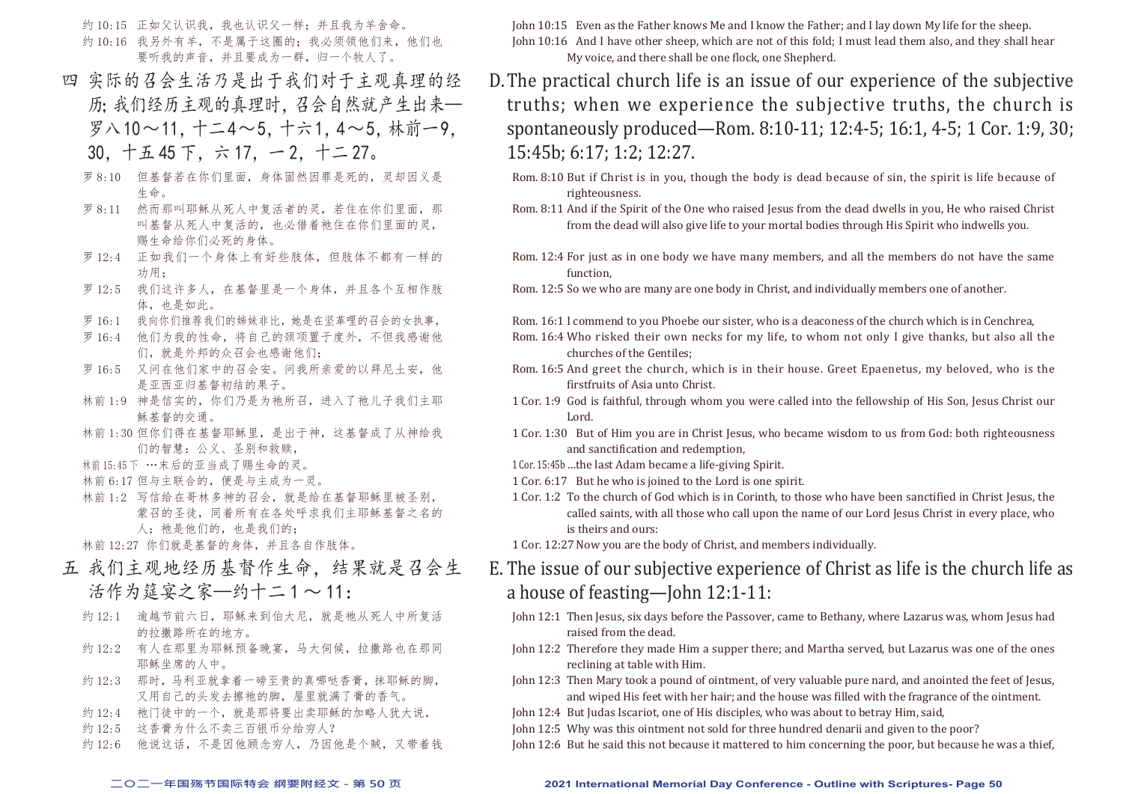约 10:15 正如父认识我, 我也认识父一样; 并且我为羊舍命。 约 10:16 我另外有羊,不是属于这圈的;我必须领他们来,他们也 要听我的声音,并且要成为一群,归一个牧人了。

- 四 实际的召会生活乃是出于我们对于主观真理的经 历;我们经历主观的真理时,召会自然就产生出来— 罗八10~11, 十二4~5, 十六1, 4~5, 林前一9, 30,十五 45 下,六 17,一 2,十二 27。
	- 罗 8:10 但基督若在你们里面,身体固然因罪是死的,灵却因义是 生命。
	- 罗 8:11 然而那叫耶稣从死人中复活者的灵,若住在你们里面,那 叫基督从死人中复活的,也必借着祂住在你们里面的灵, 赐生命给你们必死的身体。
	- 罗 12:4 正如我们一个身体上有好些肢体,但肢体不都有一样的 功用;
	- 罗 12:5 我们这许多人,在基督里是一个身体,并且各个互相作肢 体,也是如此。
	- 罗 16:1 我向你们推荐我们的姊妹非比,她是在坚革哩的召会的女执事,
	- 罗 16:4 他们为我的性命,将自己的颈项置于度外,不但我感谢他 们,就是外邦的众召会也感谢他们;
	- 罗 16:5 又问在他们家中的召会安。问我所亲爱的以拜尼土安, 他 是亚西亚归基督初结的果子。
	- 林前 1:9 神是信实的,你们乃是为祂所召,进入了祂儿子我们主耶 稣基督的交通。
	- 林前 1:30 但你们得在基督耶稣里,是出于神,这基督成了从神给我 们的智慧:公义、圣别和救赎,
	- 林前15:45下 …末后的亚当成了赐生命的灵。
	- 林前 6:17 但与主联合的,便是与主成为一灵。
	- 林前 1:2 写信给在哥林多神的召会,就是给在基督耶稣里被圣别, 蒙召的圣徒,同着所有在各处呼求我们主耶稣基督之名的 人: 祂是他们的, 也是我们的;

林前 12:27 你们就是基督的身体,并且各自作肢体。

- 五 我们主观地经历基督作生命,结果就是召会生 活作为筵宴之家—约十二1~11:
	- 约 12:1 逾越节前六日, 耶稣来到伯大尼, 就是祂从死人中所复活 的拉撒路所在的地方。
	- 约 12:2 有人在那里为耶稣预备晚宴, 马大伺候, 拉撒路也在那同 耶稣坐席的人中。
	- 约 12:3 那时,马利亚就拿着一磅至贵的真哪哒香膏,抹耶稣的脚, 又用自己的头发去擦祂的脚,屋里就满了膏的香气。
	- 约 12:4 祂门徒中的一个, 就是那将要出卖耶稣的加略人犹大说,
	- 约 12:5 这香膏为什么不卖三百银币分给穷人?
	- 约 12:6 他说这话,不是因他顾念穷人,乃因他是个贼,又带着钱

John 10:15 Even as the Father knows Me and I know the Father; and I lay down My life for the sheep. John 10:16 And I have other sheep, which are not of this fold; I must lead them also, and they shall hear My voice, and there shall be one flock, one Shepherd.

- D.The practical church life is an issue of our experience of the subjective truths; when we experience the subjective truths, the church is spontaneously produced—Rom. 8:10-11; 12:4-5; 16:1, 4-5; 1 Cor. 1:9, 30; 15:45b; 6:17; 1:2; 12:27.
	- Rom. 8:10 But if Christ is in you, though the body is dead because of sin, the spirit is life because of righteousness.
	- Rom. 8:11 And if the Spirit of the One who raised Jesus from the dead dwells in you, He who raised Christ from the dead will also give life to your mortal bodies through His Spirit who indwells you.
	- Rom. 12:4 For just as in one body we have many members, and all the members do not have the same function,

Rom. 12:5 So we who are many are one body in Christ, and individually members one of another.

- Rom. 16:1 I commend to you Phoebe our sister, who is a deaconess of the church which is in Cenchrea,
- Rom. 16:4 Who risked their own necks for my life, to whom not only I give thanks, but also all the churches of the Gentiles;
- Rom. 16:5 And greet the church, which is in their house. Greet Epaenetus, my beloved, who is the firstfruits of Asia unto Christ.
- 1 Cor. 1:9 God is faithful, through whom you were called into the fellowship of His Son, Jesus Christ our Lord.
- 1 Cor. 1:30 But of Him you are in Christ Jesus, who became wisdom to us from God: both righteousness and sanctification and redemption,
- 1 Cor. 15:45b…the last Adam became a life-giving Spirit.
- 1 Cor. 6:17 But he who is joined to the Lord is one spirit.
- 1 Cor. 1:2 To the church of God which is in Corinth, to those who have been sanctified in Christ Jesus, the called saints, with all those who call upon the name of our Lord Jesus Christ in every place, who is theirs and ours:
- 1 Cor. 12:27Now you are the body of Christ, and members individually.
- E. The issue of our subjective experience of Christ as life is the church life as a house of feasting—John 12:1-11:
	- John 12:1 Then Jesus, six days before the Passover, came to Bethany, where Lazarus was, whom Jesus had raised from the dead.
	- John 12:2 Therefore they made Him a supper there; and Martha served, but Lazarus was one of the ones reclining at table with Him.
	- John 12:3 Then Mary took a pound of ointment, of very valuable pure nard, and anointed the feet of Jesus, and wiped His feet with her hair; and the house was filled with the fragrance of the ointment.
	- John 12:4 But Judas Iscariot, one of His disciples, who was about to betray Him, said,
	- John 12:5 Why was this ointment not sold for three hundred denarii and given to the poor?
	- John 12:6 But he said this not because it mattered to him concerning the poor, but because he was a thief,

#### **二○二一年国殇节国际特会 纲要附经文 - 第 50 页 2021 International Memorial Day Conference - Outline with Scriptures- Page 50**